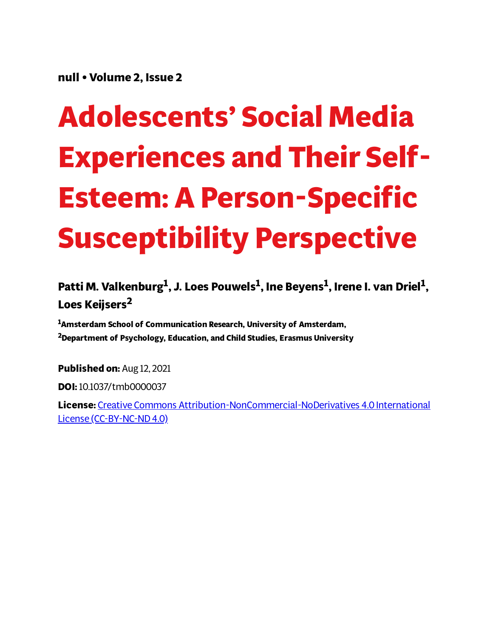**null • Volume 2, Issue 2**

# **Adolescents' Social Media Experiences and Their Self-Esteem: A Person-Specific Susceptibility Perspective**

**Patti M. Valkenburg 1 , J. Loes Pouwels 1 , Ine Beyens 1 , Irene I. van Driel 1 , Loes Keijsers 2**

**<sup>1</sup>Amsterdam School of Communication Research, University of Amsterdam, <sup>2</sup>Department of Psychology, Education, and Child Studies, Erasmus University**

**Published on:** Aug 12, 2021

**DOI:**10.1037/tmb0000037

**License:** Creative Commons [Attribution-NonCommercial-NoDerivatives](https://creativecommons.org/licenses/by-nc-nd/4.0/) 4.0 International License (CC-BY-NC-ND 4.0)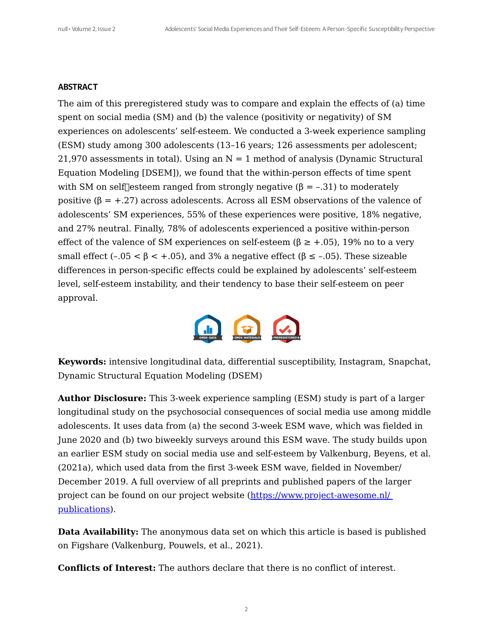#### **ABSTRACT**

The aim of this preregistered study was to compare and explain the effects of (a) time spent on social media (SM) and (b) the valence (positivity or negativity) of SM experiences on adolescents' self-esteem. We conducted a 3-week experience sampling (ESM) study among 300 adolescents (13–16 years; 126 assessments per adolescent; 21,970 assessments in total). Using an  $N = 1$  method of analysis (Dynamic Structural Equation Modeling [DSEM]), we found that the within-person effects of time spent with SM on self esteem ranged from strongly negative  $(\beta = -.31)$  to moderately positive  $(\beta = +.27)$  across adolescents. Across all ESM observations of the valence of adolescents' SM experiences, 55% of these experiences were positive, 18% negative, and 27% neutral. Finally, 78% of adolescents experienced a positive within-person effect of the valence of SM experiences on self-esteem ( $\beta \geq +0.05$ ), 19% no to a very small effect (-.05 <  $\beta$  < +.05), and 3% a negative effect ( $\beta$  ≤ -.05). These sizeable differences in person-specific effects could be explained by adolescents' self-esteem level, self-esteem instability, and their tendency to base their self-esteem on peer approval.



**Keywords:** intensive longitudinal data, differential susceptibility, Instagram, Snapchat, Dynamic Structural Equation Modeling (DSEM)

**Author Disclosure:** This 3-week experience sampling (ESM) study is part of a larger longitudinal study on the psychosocial consequences of social media use among middle adolescents. It uses data from (a) the second 3-week ESM wave, which was fielded in June 2020 and (b) two biweekly surveys around this ESM wave. The study builds upon an earlier ESM study on social media use and self-esteem by Valkenburg, Beyens, et al. (2021a), which used data from the first 3-week ESM wave, fielded in November/ December 2019. A full overview of all preprints and published papers of the larger project can be found on our project website [\(https://www.project-awesome.nl/](https://www.project-awesome.nl/%20publications) publications).

**Data Availability:** The anonymous data set on which this article is based is published on Figshare (Valkenburg, Pouwels, et al., 2021).

**Conflicts of Interest:** The authors declare that there is no conflict of interest.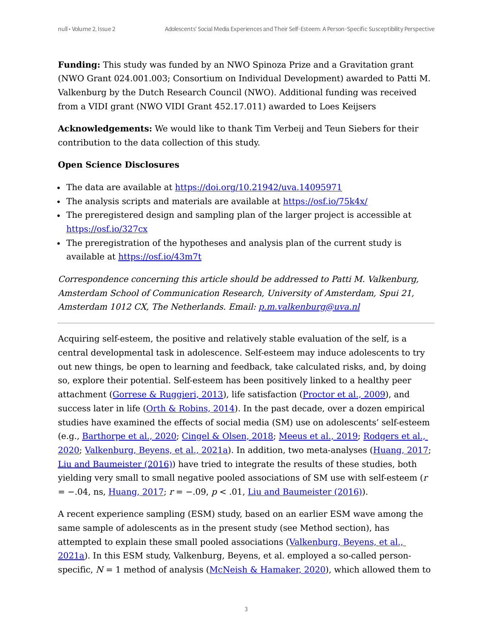**Funding:** This study was funded by an NWO Spinoza Prize and a Gravitation grant (NWO Grant 024.001.003; Consortium on Individual Development) awarded to Patti M. Valkenburg by the Dutch Research Council (NWO). Additional funding was received from a VIDI grant (NWO VIDI Grant 452.17.011) awarded to Loes Keijsers

**Acknowledgements:** We would like to thank Tim Verbeij and Teun Siebers for their contribution to the data collection of this study.

#### **Open Science Disclosures**

- The data are available at <https://doi.org/10.21942/uva.14095971>
- The analysis scripts and materials are available at <https://osf.io/75k4x/>
- The preregistered design and sampling plan of the larger project is accessible at <https://osf.io/327cx>
- The preregistration of the hypotheses and analysis plan of the current study is available at <https://osf.io/43m7t>

Correspondence concerning this article should be addressed to Patti M. Valkenburg, Amsterdam School of Communication Research, University of Amsterdam, Spui 21, Amsterdam 1012 CX, The Netherlands. Email: [p.m.valkenburg@uva.nl](mailto:%20p.m.valkenburg@uva.nl)

<span id="page-2-2"></span><span id="page-2-1"></span><span id="page-2-0"></span>Acquiring self-esteem, the positive and relatively stable evaluation of the self, is a central developmental task in adolescence. Self-esteem may induce adolescents to try out new things, be open to learning and feedback, take calculated risks, and, by doing so, explore their potential. Self-esteem has been positively linked to a healthy peer attachment (Gorrese & [Ruggieri,](#page-27-0) 2013), life satisfaction [\(Proctor](#page-27-1) et al., 2009), and success later in life  $(Orth & Robins, 2014)$  $(Orth & Robins, 2014)$  $(Orth & Robins, 2014)$ . In the past decade, over a dozen empirical studies have examined the effects of social media (SM) use on adolescents' self-esteem (e.g., [Barthorpe](#page-28-1) et al., 2020; [Cingel](#page-28-2) & Olsen, 2018; [Meeus](#page-28-3) et al., 2019; Rodgers et al., 2020; [Valkenburg,](#page-28-4) Beyens, et al., 2021a). In addition, two meta-analyses ([Huang,](#page-28-5) 2017; Liu and [Baumeister](#page-28-6) (2016)) have tried to integrate the results of these studies, both yielding very small to small negative pooled associations of SM use with self-esteem (<sup>r</sup>  $= -0.04$ , ns, [Huang,](#page-28-5) 2017;  $r = -0.09$ ,  $p < 0.01$ , Liu and [Baumeister](#page-28-6) (2016).

<span id="page-2-8"></span><span id="page-2-7"></span><span id="page-2-6"></span><span id="page-2-5"></span><span id="page-2-4"></span><span id="page-2-3"></span>A recent experience sampling (ESM) study, based on an earlier ESM wave among the same sample of adolescents as in the present study (see Method section), has attempted to explain these small pooled associations [\(Valkenburg,](#page-28-4) Beyens, et al., 2021a). In this ESM study, Valkenburg, Beyens, et al. employed a so-called personspecific,  $N = 1$  method of analysis (McNeish & Hamaker, 2020), which allowed them to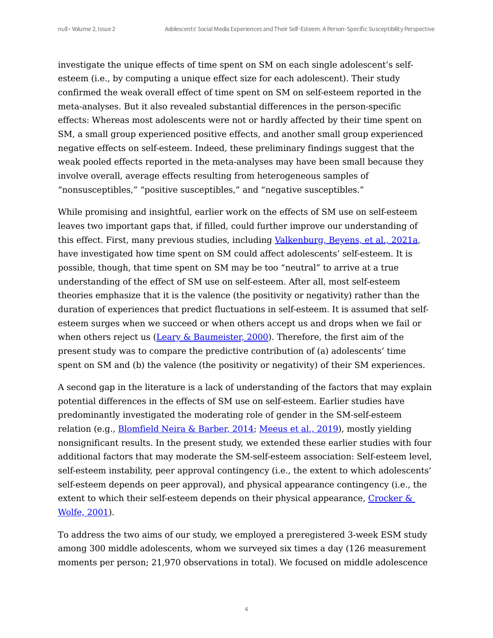investigate the unique effects of time spent on SM on each single adolescent's selfesteem (i.e., by computing a unique effect size for each adolescent). Their study confirmed the weak overall effect of time spent on SM on self-esteem reported in the meta-analyses. But it also revealed substantial differences in the person-specific effects: Whereas most adolescents were not or hardly affected by their time spent on SM, a small group experienced positive effects, and another small group experienced negative effects on self-esteem. Indeed, these preliminary findings suggest that the weak pooled effects reported in the meta-analyses may have been small because they involve overall, average effects resulting from heterogeneous samples of "nonsusceptibles," "positive susceptibles," and "negative susceptibles."

While promising and insightful, earlier work on the effects of SM use on self-esteem leaves two important gaps that, if filled, could further improve our understanding of this effect. First, many previous studies, including [Valkenburg,](#page-28-4) Beyens, et al., 2021a, have investigated how time spent on SM could affect adolescents' self-esteem. It is possible, though, that time spent on SM may be too "neutral" to arrive at a true understanding of the effect of SM use on self-esteem. After all, most self-esteem theories emphasize that it is the valence (the positivity or negativity) rather than the duration of experiences that predict fluctuations in self-esteem. It is assumed that selfesteem surges when we succeed or when others accept us and drops when we fail or when others reject us (Leary & [Baumeister,](#page-29-0) 2000). Therefore, the first aim of the present study was to compare the predictive contribution of (a) adolescents' time spent on SM and (b) the valence (the positivity or negativity) of their SM experiences.

<span id="page-3-1"></span><span id="page-3-0"></span>A second gap in the literature is a lack of understanding of the factors that may explain potential differences in the effects of SM use on self-esteem. Earlier studies have predominantly investigated the moderating role of gender in the SM-self-esteem relation (e.g., **[Blomfield](#page-29-1) Neira & Barber, 2014; [Meeus](#page-28-3) et al., 2019**), mostly yielding nonsignificant results. In the present study, we extended these earlier studies with four additional factors that may moderate the SM-self-esteem association: Self-esteem level, self-esteem instability, peer approval contingency (i.e., the extent to which adolescents' self-esteem depends on peer approval), and physical appearance contingency (i.e., the extent to which their self-esteem depends on their physical [appearance,](#page-29-2) Crocker  $\&$ Wolfe, 2001).

<span id="page-3-2"></span>To address the two aims of our study, we employed a preregistered 3-week ESM study among 300 middle adolescents, whom we surveyed six times a day (126 measurement moments per person; 21,970 observations in total). We focused on middle adolescence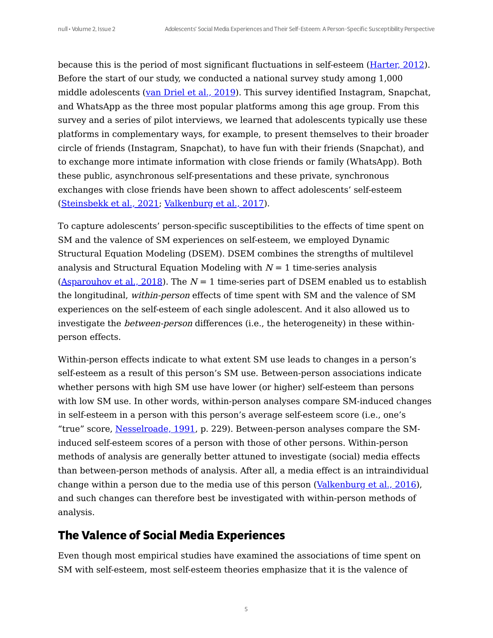<span id="page-4-0"></span>because this is the period of most significant fluctuations in self-esteem ([Harter,](#page-29-3) 2012). Before the start of our study, we conducted a national survey study among 1,000 middle adolescents (van Driel et al., 2019). This survey identified Instagram, Snapchat, and WhatsApp as the three most popular platforms among this age group. From this survey and a series of pilot interviews, we learned that adolescents typically use these platforms in complementary ways, for example, to present themselves to their broader circle of friends (Instagram, Snapchat), to have fun with their friends (Snapchat), and to exchange more intimate information with close friends or family (WhatsApp). Both these public, asynchronous self-presentations and these private, synchronous exchanges with close friends have been shown to affect adolescents' self-esteem [\(Steinsbekk](#page-29-4) et al., 2021; [Valkenburg](#page-29-5) et al., 2017).

<span id="page-4-3"></span><span id="page-4-2"></span><span id="page-4-1"></span>To capture adolescents' person-specific susceptibilities to the effects of time spent on SM and the valence of SM experiences on self-esteem, we employed Dynamic Structural Equation Modeling (DSEM). DSEM combines the strengths of multilevel analysis and Structural Equation Modeling with  $N = 1$  time-series analysis [\(Asparouhov](#page-29-6) et al., 2018). The  $N = 1$  time-series part of DSEM enabled us to establish the longitudinal, within-person effects of time spent with SM and the valence of SM experiences on the self-esteem of each single adolescent. And it also allowed us to investigate the *between-person* differences (i.e., the heterogeneity) in these withinperson effects.

<span id="page-4-4"></span>Within-person effects indicate to what extent SM use leads to changes in a person's self-esteem as a result of this person's SM use. Between-person associations indicate whether persons with high SM use have lower (or higher) self-esteem than persons with low SM use. In other words, within-person analyses compare SM-induced changes in self-esteem in a person with this person's average self-esteem score (i.e., one's "true" score, [Nesselroade,](#page-29-7) 1991, p. 229). Between-person analyses compare the SMinduced self-esteem scores of a person with those of other persons. Within-person methods of analysis are generally better attuned to investigate (social) media effects than between-person methods of analysis. After all, a media effect is an intraindividual change within a person due to the media use of this person ([Valkenburg](#page-29-8) et al., 2016), and such changes can therefore best be investigated with within-person methods of analysis.

## <span id="page-4-5"></span>**The Valence of Social Media Experiences**

Even though most empirical studies have examined the associations of time spent on SM with self-esteem, most self-esteem theories emphasize that it is the valence of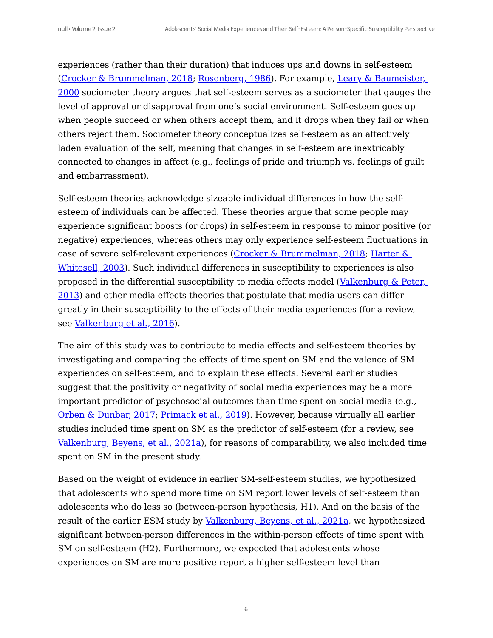<span id="page-5-0"></span>experiences (rather than their duration) that induces ups and downs in self-esteem (Crocker & [Brummelman,](#page-30-0) 2018; Rosenberg, 1986). For example, Leary & Baumeister, 2000 sociometer theory argues that self-esteem serves as a sociometer that gauges the level of approval or disapproval from one's social environment. Self-esteem goes up when people succeed or when others accept them, and it drops when they fail or when others reject them. Sociometer theory conceptualizes self-esteem as an affectively laden evaluation of the self, meaning that changes in self-esteem are inextricably connected to changes in affect (e.g., feelings of pride and triumph vs. feelings of guilt and embarrassment).

<span id="page-5-1"></span>Self-esteem theories acknowledge sizeable individual differences in how the selfesteem of individuals can be affected. These theories argue that some people may experience significant boosts (or drops) in self-esteem in response to minor positive (or negative) experiences, whereas others may only experience self-esteem fluctuations in case of severe self-relevant experiences (Crocker & [Brummelman,](#page-30-0) 2018; Harter & Whitesell, 2003). Such individual differences in susceptibility to experiences is also proposed in the differential [susceptibility](#page-30-2) to media effects model (Valkenburg & Peter, 2013) and other media effects theories that postulate that media users can differ greatly in their susceptibility to the effects of their media experiences (for a review, see [Valkenburg](#page-29-8) et al., 2016).

<span id="page-5-2"></span>The aim of this study was to contribute to media effects and self-esteem theories by investigating and comparing the effects of time spent on SM and the valence of SM experiences on self-esteem, and to explain these effects. Several earlier studies suggest that the positivity or negativity of social media experiences may be a more important predictor of psychosocial outcomes than time spent on social media (e.g., Orben & Dunbar, 2017; [Primack](#page-30-3) et al., 2019). However, because virtually all earlier studies included time spent on SM as the predictor of self-esteem (for a review, see [Valkenburg,](#page-28-4) Beyens, et al., 2021a), for reasons of comparability, we also included time spent on SM in the present study.

<span id="page-5-3"></span>Based on the weight of evidence in earlier SM-self-esteem studies, we hypothesized that adolescents who spend more time on SM report lower levels of self-esteem than adolescents who do less so (between-person hypothesis, H1). And on the basis of the result of the earlier ESM study by [Valkenburg,](#page-28-4) Beyens, et al., 2021a, we hypothesized significant between-person differences in the within-person effects of time spent with SM on self-esteem (H2). Furthermore, we expected that adolescents whose experiences on SM are more positive report a higher self-esteem level than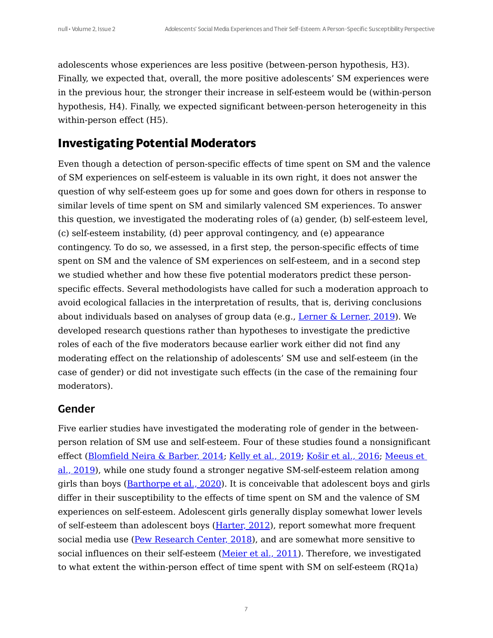adolescents whose experiences are less positive (between-person hypothesis, H3). Finally, we expected that, overall, the more positive adolescents' SM experiences were in the previous hour, the stronger their increase in self-esteem would be (within-person hypothesis, H4). Finally, we expected significant between-person heterogeneity in this within-person effect (H5).

## **Investigating Potential Moderators**

Even though a detection of person-specific effects of time spent on SM and the valence of SM experiences on self-esteem is valuable in its own right, it does not answer the question of why self-esteem goes up for some and goes down for others in response to similar levels of time spent on SM and similarly valenced SM experiences. To answer this question, we investigated the moderating roles of (a) gender, (b) self-esteem level, (c) self-esteem instability, (d) peer approval contingency, and (e) appearance contingency. To do so, we assessed, in a first step, the person-specific effects of time spent on SM and the valence of SM experiences on self-esteem, and in a second step we studied whether and how these five potential moderators predict these personspecific effects. Several methodologists have called for such a moderation approach to avoid ecological fallacies in the interpretation of results, that is, deriving conclusions about individuals based on analyses of group data (e.g., Lerner  $\&$  [Lerner,](#page-30-4) 2019). We developed research questions rather than hypotheses to investigate the predictive roles of each of the five moderators because earlier work either did not find any moderating effect on the relationship of adolescents' SM use and self-esteem (in the case of gender) or did not investigate such effects (in the case of the remaining four moderators).

#### <span id="page-6-0"></span>Gender

<span id="page-6-3"></span><span id="page-6-2"></span><span id="page-6-1"></span>Five earlier studies have investigated the moderating role of gender in the betweenperson relation of SM use and self-esteem. Four of these studies found a nonsignificant effect ([Blomfield](#page-29-1) Neira & Barber, 2014; Kelly et al., [2019](#page-30-5); Košir et al., 2016; Meeus et al., 2019), while one study found a stronger negative [SM-self-esteem](#page-28-3) relation among girls than boys ([Barthorpe](#page-28-1) et al., 2020). It is conceivable that adolescent boys and girls differ in their susceptibility to the effects of time spent on SM and the valence of SM experiences on self-esteem. Adolescent girls generally display somewhat lower levels of self-esteem than adolescent boys  $(H<sub>arter</sub>, 2012)$ , report somewhat more frequent social media use (Pew [Research](#page-31-0) Center, 2018), and are somewhat more sensitive to social influences on their self-esteem [\(Meier](#page-31-1) et al., 2011). Therefore, we investigated to what extent the within-person effect of time spent with SM on self-esteem (RQ1a)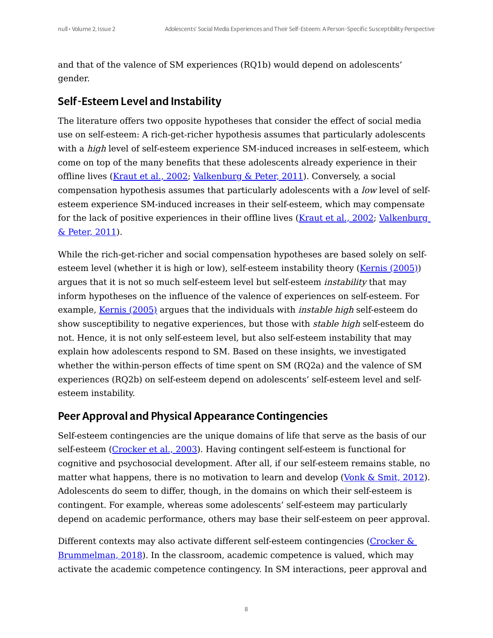and that of the valence of SM experiences (RQ1b) would depend on adolescents' gender.

## Self-Esteem Level and Instability

<span id="page-7-0"></span>The literature offers two opposite hypotheses that consider the effect of social media use on self-esteem: A rich-get-richer hypothesis assumes that particularly adolescents with a *high* level of self-esteem experience SM-induced increases in self-esteem, which come on top of the many benefits that these adolescents already experience in their offline lives [\(Kraut](#page-31-2) et al., 2002; Valkenburg & Peter, 2011). Conversely, a social compensation hypothesis assumes that particularly adolescents with a low level of selfesteem experience SM-induced increases in their self-esteem, which may compensate for the lack of positive experiences in their offline lives [\(Kraut](#page-31-2) et al., 2002; Valkenburg & Peter, 2011).

While the rich-get-richer and social compensation hypotheses are based solely on selfesteem level (whether it is high or low), self-esteem instability theory (Kernis (2005)) argues that it is not so much self-esteem level but self-esteem instability that may inform hypotheses on the influence of the valence of experiences on self-esteem. For example, Kernis (2005) argues that the individuals with *instable high* self-esteem do show susceptibility to negative experiences, but those with stable high self-esteem do not. Hence, it is not only self-esteem level, but also self-esteem instability that may explain how adolescents respond to SM. Based on these insights, we investigated whether the within-person effects of time spent on SM (RQ2a) and the valence of SM experiences (RQ2b) on self-esteem depend on adolescents' self-esteem level and selfesteem instability.

## Peer Approval and Physical Appearance Contingencies

<span id="page-7-2"></span><span id="page-7-1"></span>Self-esteem contingencies are the unique domains of life that serve as the basis of our self-esteem ([Crocker](#page-31-3) et al., 2003). Having contingent self-esteem is functional for cognitive and psychosocial development. After all, if our self-esteem remains stable, no matter what happens, there is no motivation to learn and develop (Vonk  $\&$  [Smit,](#page-31-4) 2012). Adolescents do seem to differ, though, in the domains on which their self-esteem is contingent. For example, whereas some adolescents' self-esteem may particularly depend on academic performance, others may base their self-esteem on peer approval.

Different contexts may also activate different self-esteem contingencies (Crocker & [Brummelman,](#page-30-0) 2018). In the classroom, academic competence is valued, which may activate the academic competence contingency. In SM interactions, peer approval and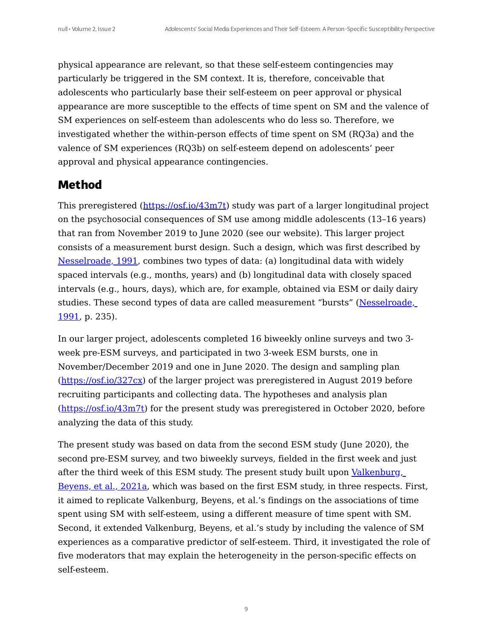physical appearance are relevant, so that these self-esteem contingencies may particularly be triggered in the SM context. It is, therefore, conceivable that adolescents who particularly base their self-esteem on peer approval or physical appearance are more susceptible to the effects of time spent on SM and the valence of SM experiences on self-esteem than adolescents who do less so. Therefore, we investigated whether the within-person effects of time spent on SM (RQ3a) and the valence of SM experiences (RQ3b) on self-esteem depend on adolescents' peer approval and physical appearance contingencies.

## **Method**

This preregistered ([https://osf.io/43m7t\)](https://osf.io/43m7t) study was part of a larger longitudinal project on the psychosocial consequences of SM use among middle adolescents (13–16 years) that ran from November 2019 to June 2020 (see our website). This larger project consists of a measurement burst design. Such a design, which was first described by [Nesselroade,](#page-29-7) 1991, combines two types of data: (a) longitudinal data with widely spaced intervals (e.g., months, years) and (b) longitudinal data with closely spaced intervals (e.g., hours, days), which are, for example, obtained via ESM or daily dairy studies. These second types of data are called measurement "bursts" [\(Nesselroade,](#page-29-7) 1991, p. 235).

In our larger project, adolescents completed 16 biweekly online surveys and two 3 week pre-ESM surveys, and participated in two 3-week ESM bursts, one in November/December 2019 and one in June 2020. The design and sampling plan [\(https://osf.io/327cx\)](https://osf.io/327cx) of the larger project was preregistered in August 2019 before recruiting participants and collecting data. The hypotheses and analysis plan [\(https://osf.io/43m7t](https://osf.io/43m7t)) for the present study was preregistered in October 2020, before analyzing the data of this study.

The present study was based on data from the second ESM study (June 2020), the second pre-ESM survey, and two biweekly surveys, fielded in the first week and just after the third week of this ESM study. The present study built upon [Valkenburg,](#page-28-4) Beyens, et al., 2021a, which was based on the first ESM study, in three respects. First, it aimed to replicate Valkenburg, Beyens, et al.'s findings on the associations of time spent using SM with self-esteem, using a different measure of time spent with SM. Second, it extended Valkenburg, Beyens, et al.'s study by including the valence of SM experiences as a comparative predictor of self-esteem. Third, it investigated the role of five moderators that may explain the heterogeneity in the person-specific effects on self-esteem.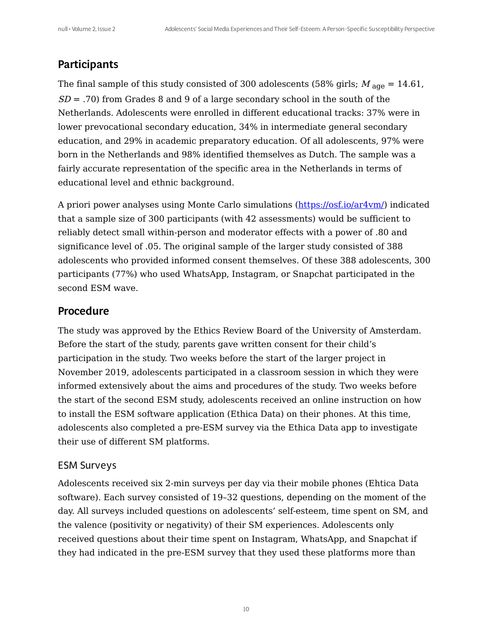## **Participants**

The final sample of this study consisted of 300 adolescents (58% girls;  $M_{\text{age}} = 14.61$ ,  $SD = .70$ ) from Grades 8 and 9 of a large secondary school in the south of the Netherlands. Adolescents were enrolled in different educational tracks: 37% were in lower prevocational secondary education, 34% in intermediate general secondary education, and 29% in academic preparatory education. Of all adolescents, 97% were born in the Netherlands and 98% identified themselves as Dutch. The sample was a fairly accurate representation of the specific area in the Netherlands in terms of educational level and ethnic background.

A priori power analyses using Monte Carlo simulations [\(https://osf.io/ar4vm/](https://osf.io/ar4vm/)) indicated that a sample size of 300 participants (with 42 assessments) would be sufficient to reliably detect small within-person and moderator effects with a power of .80 and significance level of .05. The original sample of the larger study consisted of 388 adolescents who provided informed consent themselves. Of these 388 adolescents, 300 participants (77%) who used WhatsApp, Instagram, or Snapchat participated in the second ESM wave.

#### Procedure

The study was approved by the Ethics Review Board of the University of Amsterdam. Before the start of the study, parents gave written consent for their child's participation in the study. Two weeks before the start of the larger project in November 2019, adolescents participated in a classroom session in which they were informed extensively about the aims and procedures of the study. Two weeks before the start of the second ESM study, adolescents received an online instruction on how to install the ESM software application (Ethica Data) on their phones. At this time, adolescents also completed a pre-ESM survey via the Ethica Data app to investigate their use of different SM platforms.

#### ESM Surveys

Adolescents received six 2-min surveys per day via their mobile phones (Ehtica Data software). Each survey consisted of 19–32 questions, depending on the moment of the day. All surveys included questions on adolescents' self-esteem, time spent on SM, and the valence (positivity or negativity) of their SM experiences. Adolescents only received questions about their time spent on Instagram, WhatsApp, and Snapchat if they had indicated in the pre-ESM survey that they used these platforms more than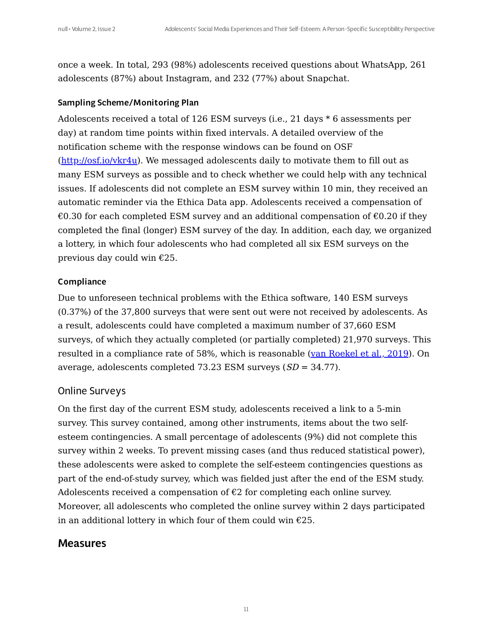once a week. In total, 293 (98%) adolescents received questions about WhatsApp, 261 adolescents (87%) about Instagram, and 232 (77%) about Snapchat.

#### Sampling Scheme/Monitoring Plan

Adolescents received a total of 126 ESM surveys (i.e., 21 days \* 6 assessments per day) at random time points within fixed intervals. A detailed overview of the notification scheme with the response windows can be found on OSF [\(http://osf.io/vkr4u](http://osf.io/vkr4u)). We messaged adolescents daily to motivate them to fill out as many ESM surveys as possible and to check whether we could help with any technical issues. If adolescents did not complete an ESM survey within 10 min, they received an automatic reminder via the Ethica Data app. Adolescents received a compensation of €0.30 for each completed ESM survey and an additional compensation of  $€0.20$  if they completed the final (longer) ESM survey of the day. In addition, each day, we organized a lottery, in which four adolescents who had completed all six ESM surveys on the previous day could win €25.

#### Compliance

Due to unforeseen technical problems with the Ethica software, 140 ESM surveys (0.37%) of the 37,800 surveys that were sent out were not received by adolescents. As a result, adolescents could have completed a maximum number of 37,660 ESM surveys, of which they actually completed (or partially completed) 21,970 surveys. This resulted in a compliance rate of 58%, which is reasonable (van [Roekel](#page-31-5) et al., 2019). On average, adolescents completed 73.23 ESM surveys  $(SD = 34.77)$ .

#### <span id="page-10-0"></span>Online Surveys

On the first day of the current ESM study, adolescents received a link to a 5-min survey. This survey contained, among other instruments, items about the two selfesteem contingencies. A small percentage of adolescents (9%) did not complete this survey within 2 weeks. To prevent missing cases (and thus reduced statistical power), these adolescents were asked to complete the self-esteem contingencies questions as part of the end-of-study survey, which was fielded just after the end of the ESM study. Adolescents received a compensation of  $\epsilon$ 2 for completing each online survey. Moreover, all adolescents who completed the online survey within 2 days participated in an additional lottery in which four of them could win  $\epsilon$ 25.

#### Measures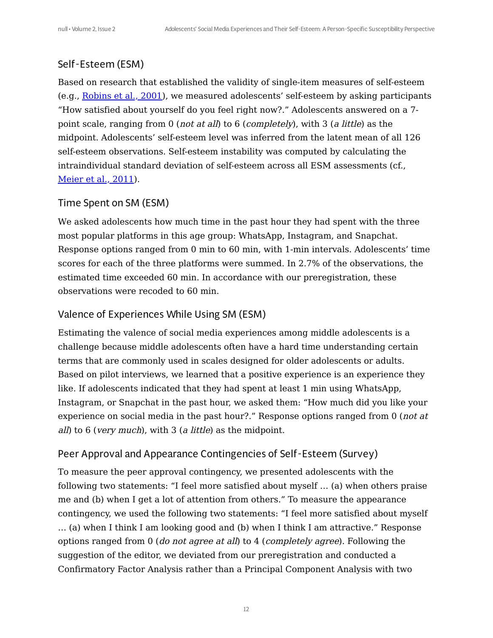## Self-Esteem (ESM)

Based on research that established the validity of single-item measures of self-esteem (e.g., Robins et al., 2001), we measured adolescents' self-esteem by asking participants "How satisfied about yourself do you feel right now?." Adolescents answered on a 7 point scale, ranging from 0 (not at all) to 6 (completely), with 3 (<sup>a</sup> little) as the midpoint. Adolescents' self-esteem level was inferred from the latent mean of all 126 self-esteem observations. Self-esteem instability was computed by calculating the intraindividual standard deviation of self-esteem across all ESM assessments (cf., [Meier](#page-31-1) et al., 2011).

#### Time Spent on SM (ESM)

We asked adolescents how much time in the past hour they had spent with the three most popular platforms in this age group: WhatsApp, Instagram, and Snapchat. Response options ranged from 0 min to 60 min, with 1-min intervals. Adolescents' time scores for each of the three platforms were summed. In 2.7% of the observations, the estimated time exceeded 60 min. In accordance with our preregistration, these observations were recoded to 60 min.

#### Valence of Experiences While Using SM (ESM)

Estimating the valence of social media experiences among middle adolescents is a challenge because middle adolescents often have a hard time understanding certain terms that are commonly used in scales designed for older adolescents or adults. Based on pilot interviews, we learned that a positive experience is an experience they like. If adolescents indicated that they had spent at least 1 min using WhatsApp, Instagram, or Snapchat in the past hour, we asked them: "How much did you like your experience on social media in the past hour?." Response options ranged from 0 (not at all) to 6 (very much), with 3 (a little) as the midpoint.

#### Peer Approval and Appearance Contingencies of Self-Esteem (Survey)

To measure the peer approval contingency, we presented adolescents with the following two statements: "I feel more satisfied about myself … (a) when others praise me and (b) when I get a lot of attention from others." To measure the appearance contingency, we used the following two statements: "I feel more satisfied about myself … (a) when I think I am looking good and (b) when I think I am attractive." Response options ranged from 0 (do not agree at all) to 4 (completely agree). Following the suggestion of the editor, we deviated from our preregistration and conducted a Confirmatory Factor Analysis rather than a Principal Component Analysis with two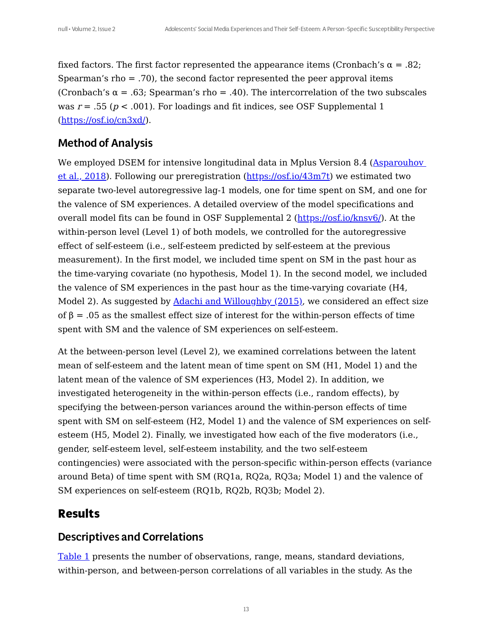fixed factors. The first factor represented the appearance items (Cronbach's  $\alpha = .82$ ; Spearman's rho = .70), the second factor represented the peer approval items (Cronbach's  $\alpha$  = .63; Spearman's rho = .40). The intercorrelation of the two subscales was  $r = .55$  ( $p < .001$ ). For loadings and fit indices, see OSF Supplemental 1 [\(https://osf.io/cn3xd/\)](https://osf.io/cn3xd/).

## Method of Analysis

We employed DSEM for intensive longitudinal data in Mplus Version 8.4 (Asparouhov et al., 2018). Following our preregistration [\(](#page-29-6)<https://osf.io/43m7t>[\)](#page-29-6) we estimated two separate two-level autoregressive lag-1 models, one for time spent on SM, and one for the valence of SM experiences. A detailed overview of the model specifications and overall model fits can be found in OSF Supplemental 2 (<https://osf.io/knsv6/>). At the within-person level (Level 1) of both models, we controlled for the autoregressive effect of self-esteem (i.e., self-esteem predicted by self-esteem at the previous measurement). In the first model, we included time spent on SM in the past hour as the time-varying covariate (no hypothesis, Model 1). In the second model, we included the valence of SM experiences in the past hour as the time-varying covariate (H4, Model 2). As suggested by **Adachi and [Willoughby](#page-31-6) (2015)**, we considered an effect size of β = .05 as the smallest effect size of interest for the within-person effects of time spent with SM and the valence of SM experiences on self-esteem.

<span id="page-12-0"></span>At the between-person level (Level 2), we examined correlations between the latent mean of self-esteem and the latent mean of time spent on SM (H1, Model 1) and the latent mean of the valence of SM experiences (H3, Model 2). In addition, we investigated heterogeneity in the within-person effects (i.e., random effects), by specifying the between-person variances around the within-person effects of time spent with SM on self-esteem (H2, Model 1) and the valence of SM experiences on selfesteem (H5, Model 2). Finally, we investigated how each of the five moderators (i.e., gender, self-esteem level, self-esteem instability, and the two self-esteem contingencies) were associated with the person-specific within-person effects (variance around Beta) of time spent with SM (RQ1a, RQ2a, RQ3a; Model 1) and the valence of SM experiences on self-esteem (RQ1b, RQ2b, RQ3b; Model 2).

## **Results**

#### Descriptives and Correlations

[Table](#page-13-0) 1 presents the number of observations, range, means, standard deviations, within-person, and between-person correlations of all variables in the study. As the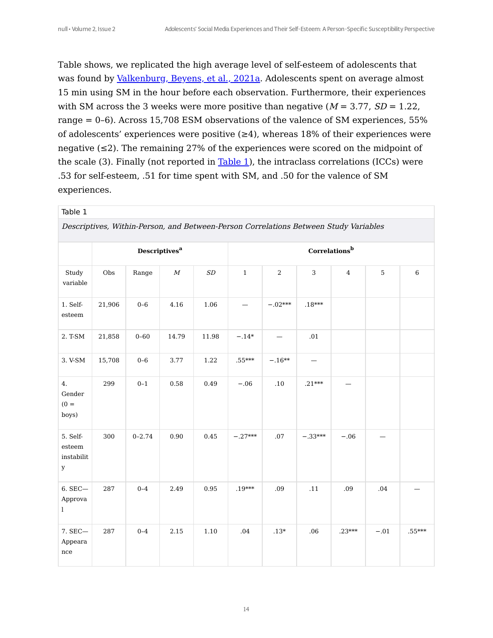# Table shows, we replicated the high average level of self-esteem of adolescents that was found by [Valkenburg,](#page-28-4) Beyens, et al., 2021a. Adolescents spent on average almost 15 min using SM in the hour before each observation. Furthermore, their experiences with SM across the 3 weeks were more positive than negative  $(M = 3.77, SD = 1.22,$ range = 0–6). Across 15,708 ESM observations of the valence of SM experiences, 55% of adolescents' experiences were positive  $(\geq 4)$ , whereas 18% of their experiences were negative (≤2). The remaining 27% of the experiences were scored on the midpoint of the scale (3). Finally (not reported in [Table](#page-13-0) 1), the intraclass correlations (ICCs) were .53 for self-esteem, .51 for time spent with SM, and .50 for the valence of SM experiences.

#### <span id="page-13-0"></span>Table 1

Descriptives, Within-Person, and Between-Person Correlations Between Study Variables

|                                                                          | <b>Descriptives<sup>a</sup></b> |            |                  | Correlations <sup>b</sup> |              |                |                |                |            |          |
|--------------------------------------------------------------------------|---------------------------------|------------|------------------|---------------------------|--------------|----------------|----------------|----------------|------------|----------|
| Study<br>variable                                                        | Obs                             | Range      | $\boldsymbol{M}$ | $\cal SD$                 | $\mathbf{1}$ | $\overline{2}$ | $\overline{3}$ | $\overline{4}$ | $\sqrt{5}$ | $\,6\,$  |
| 1. Self-<br>esteem                                                       | 21,906                          | $0 - 6$    | 4.16             | 1.06                      |              | $-.02***$      | $.18***$       |                |            |          |
| 2. T-SM                                                                  | 21,858                          | $0 - 60$   | 14.79            | 11.98                     | $-.14*$      |                | .01            |                |            |          |
| 3. V-SM                                                                  | 15,708                          | $0-6$      | 3.77             | 1.22                      | $.55***$     | $-.16**$       |                |                |            |          |
| 4.<br>Gender<br>$(0 =$<br>boys)                                          | 299                             | $0 - 1$    | 0.58             | 0.49                      | $-.06$       | $.10\,$        | $.21***$       |                |            |          |
| 5. Self-<br>$\quad$ esteem<br>$\operatorname{instabilit}$<br>$\mathbf y$ | 300                             | $0 - 2.74$ | 0.90             | 0.45                      | $-.27***$    | .07            | $-.33***$      | $-.06$         |            |          |
| 6. SEC-<br>Approva<br>$\mathbf{l}$                                       | 287                             | $0 - 4$    | 2.49             | 0.95                      | $.19***$     | .09            | $.11\,$        | .09            | $.04\,$    |          |
| 7. SEC-<br>Appeara<br>nce                                                | 287                             | $0 - 4$    | 2.15             | 1.10                      | .04          | $.13*$         | .06            | $.23***$       | $-.01$     | $.55***$ |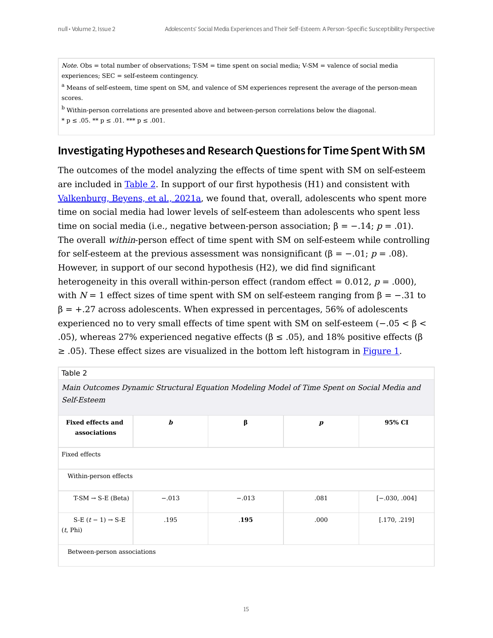$Note. Obs = total number of observations; T-SM = time spent on social media; V-SM = valence of social media$ experiences; SEC = self-esteem contingency.

<sup>a</sup> Means of self-esteem, time spent on SM, and valence of SM experiences represent the average of the person-mean scores.

<sup>b</sup> Within-person correlations are presented above and between-person correlations below the diagonal.

 $*$  p  $\leq$  .05. \*\* p  $\leq$  .01. \*\*\* p  $\leq$  .001.

## Investigating Hypotheses and Research Questions for Time Spent With SM

The outcomes of the model analyzing the effects of time spent with SM on self-esteem are included in [Table](#page-14-0) 2. In support of our first hypothesis (H1) and consistent with [Valkenburg,](#page-28-4) Beyens, et al., 2021a, we found that, overall, adolescents who spent more time on social media had lower levels of self-esteem than adolescents who spent less time on social media (i.e., negative between-person association;  $\beta = -0.14$ ;  $p = 0.01$ ). The overall within-person effect of time spent with SM on self-esteem while controlling for self-esteem at the previous assessment was nonsignificant (β =  $-.01$ ; p = .08). However, in support of our second hypothesis (H2), we did find significant heterogeneity in this overall within-person effect (random effect =  $0.012$ ,  $p = .000$ ), with  $N = 1$  effect sizes of time spent with SM on self-esteem ranging from  $\beta = -.31$  to  $\beta$  = +.27 across adolescents. When expressed in percentages, 56% of adolescents experienced no to very small effects of time spent with SM on self-esteem  $(-.05 < β <$ .05), whereas 27% experienced negative effects (β  $\leq$  .05), and 18% positive effects (β  $\geq$  0.05). These effect sizes are visualized in the bottom left histogram in [Figure](#page-17-0) 1.

<span id="page-14-0"></span>

| Table 2                                                                                                   |                  |         |                  |                 |  |  |  |  |
|-----------------------------------------------------------------------------------------------------------|------------------|---------|------------------|-----------------|--|--|--|--|
| Main Outcomes Dynamic Structural Equation Modeling Model of Time Spent on Social Media and<br>Self-Esteem |                  |         |                  |                 |  |  |  |  |
| <b>Fixed effects and</b><br>associations                                                                  | $\boldsymbol{b}$ | β       | $\boldsymbol{p}$ | 95% CI          |  |  |  |  |
| Fixed effects                                                                                             |                  |         |                  |                 |  |  |  |  |
| Within-person effects                                                                                     |                  |         |                  |                 |  |  |  |  |
| $T-SM \rightarrow S-E$ (Beta)                                                                             | $-.013$          | $-.013$ | .081             | $[-.030, .004]$ |  |  |  |  |
| S-E $(t-1) \rightarrow$ S-E<br>(t, Phi)                                                                   | .195             | .195    | .000             | [.170, .219]    |  |  |  |  |
| Between-person associations                                                                               |                  |         |                  |                 |  |  |  |  |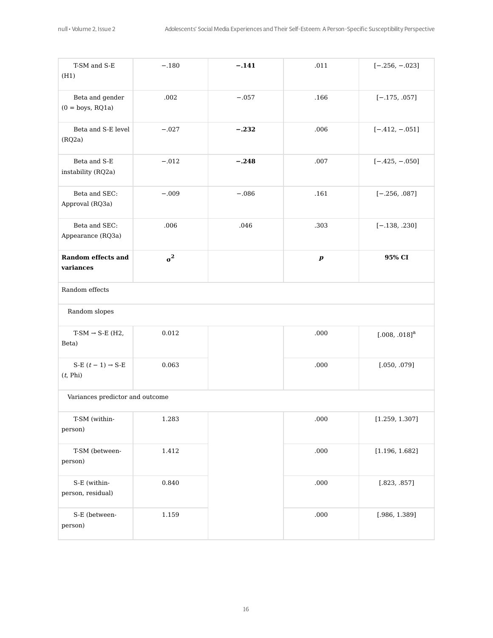| T-SM and S-E<br>(H1)                             | $-.180$    | $-.141$ | $.011\,$         | $[-.256, -.023]$            |  |  |  |
|--------------------------------------------------|------------|---------|------------------|-----------------------------|--|--|--|
| Beta and gender<br>$(0 = boys, RQ1a)$            | .002       | $-.057$ | .166             | $[-.175, .057]$             |  |  |  |
| Beta and S-E level<br>(RQ2a)                     | $-.027$    | $-.232$ | .006             | $[-.412, -.051]$            |  |  |  |
| Beta and S-E<br>instability (RQ2a)               | $-.012$    | $-.248$ | .007             | $[-.425, -.050]$            |  |  |  |
| Beta and SEC:<br>Approval (RQ3a)                 | $-.009$    | $-.086$ | .161             | $[-.256, .087]$             |  |  |  |
| Beta and SEC:<br>Appearance (RQ3a)               | .006       | .046    | .303             | $[-.138, .230]$             |  |  |  |
| <b>Random effects and</b><br>variances           | $\sigma^2$ |         | $\boldsymbol{p}$ | 95% CI                      |  |  |  |
| Random effects                                   |            |         |                  |                             |  |  |  |
| Random slopes                                    |            |         |                  |                             |  |  |  |
| $T-SM \rightarrow S-E$ (H2,<br>Beta)             | 0.012      |         | $.000$           | $[.008, .018]$ <sup>a</sup> |  |  |  |
| S-E $(t-1)$ $\rightarrow$ S-E<br>$(t,$ Phi) $\,$ | 0.063      |         | .000             | [.050, .079]                |  |  |  |
| Variances predictor and outcome                  |            |         |                  |                             |  |  |  |
| T-SM (within-<br>person)                         | 1.283      |         | .000             | [1.259, 1.307]              |  |  |  |
| T-SM (between-<br>person)                        | 1.412      |         | $.000$           | [1.196, 1.682]              |  |  |  |
| S-E (within-<br>person, residual)                | 0.840      |         | .000             | $[.823, .857]$              |  |  |  |
| S-E (between-<br>person)                         | 1.159      |         | $.000$           | [.986, 1.389]               |  |  |  |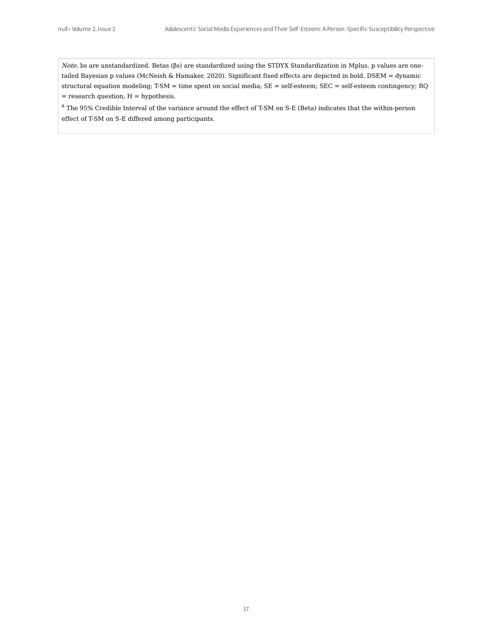Note. bs are unstandardized. Betas (βs) are standardized using the STDYX Standardization in Mplus. p values are onetailed Bayesian p values (McNeish & Hamaker, 2020). Significant fixed effects are depicted in bold. DSEM = dynamic structural equation modeling; T-SM = time spent on social media; SE = self-esteem; SEC = self-esteem contingency; RQ  $=$  research question;  ${\cal H}$   $=$  hypothesis.

 $^{\rm a}$  The 95% Credible Interval of the variance around the effect of T-SM on S-E (Beta) indicates that the within-person effect of T-SM on S-E differed among participants.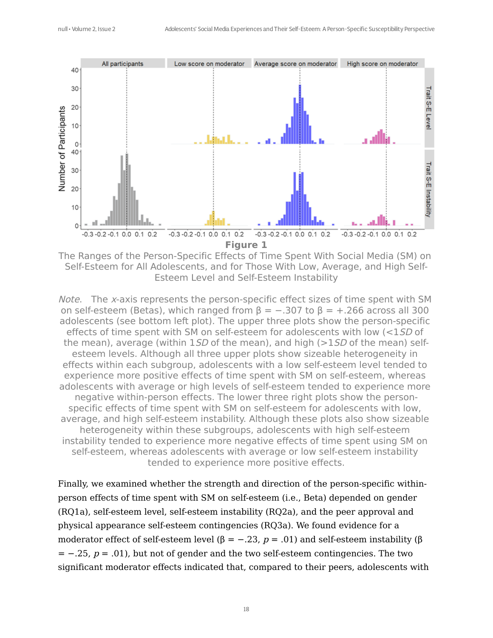<span id="page-17-0"></span>

The Ranges of the Person-Specific Effects of Time Spent With Social Media (SM) on Self-Esteem for All Adolescents, and for Those With Low, Average, and High Self-Esteem Level and Self-Esteem Instability

Note. The x-axis represents the person-specific effect sizes of time spent with SM on self-esteem (Betas), which ranged from  $\beta = -.307$  to  $\beta = +.266$  across all 300 adolescents (see bottom left plot). The upper three plots show the person-specific effects of time spent with SM on self-esteem for adolescents with low (<1SD of the mean), average (within 1*SD* of the mean), and high ( $>15D$  of the mean) selfesteem levels. Although all three upper plots show sizeable heterogeneity in effects within each subgroup, adolescents with a low self-esteem level tended to experience more positive effects of time spent with SM on self-esteem, whereas adolescents with average or high levels of self-esteem tended to experience more negative within-person effects. The lower three right plots show the personspecific effects of time spent with SM on self-esteem for adolescents with low, average, and high self-esteem instability. Although these plots also show sizeable heterogeneity within these subgroups, adolescents with high self-esteem instability tended to experience more negative effects of time spent using SM on self-esteem, whereas adolescents with average or low self-esteem instability tended to experience more positive effects.

Finally, we examined whether the strength and direction of the person-specific withinperson effects of time spent with SM on self-esteem (i.e., Beta) depended on gender (RQ1a), self-esteem level, self-esteem instability (RQ2a), and the peer approval and physical appearance self-esteem contingencies (RQ3a). We found evidence for a moderator effect of self-esteem level (β = -.23, p = .01) and self-esteem instability (β  $= -0.25$ ,  $p = 0.01$ ), but not of gender and the two self-esteem contingencies. The two significant moderator effects indicated that, compared to their peers, adolescents with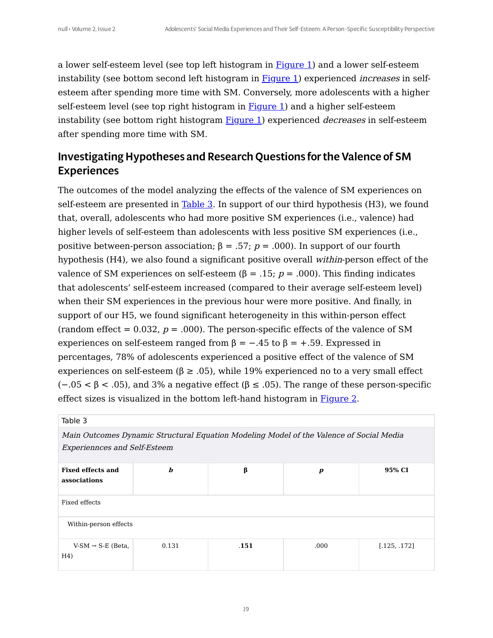a lower self-esteem level (see top left histogram in  $Figure 1$  $Figure 1$ ) and a lower self-esteem instability (see bottom second left histogram in **[Figure](#page-17-0) 1**) experienced *increases* in selfesteem after spending more time with SM. Conversely, more adolescents with a higher self-esteem level (see top right histogram in  $Figure 1$  $Figure 1$ ) and a higher self-esteem instability (see bottom right histogram [Figure](#page-17-0) 1) experienced decreases in self-esteem after spending more time with SM.

# Investigating Hypotheses and Research Questions forthe Valence of SM Experiences

The outcomes of the model analyzing the effects of the valence of SM experiences on self-esteem are presented in [Table](#page-18-0) 3. In support of our third hypothesis (H3), we found that, overall, adolescents who had more positive SM experiences (i.e., valence) had higher levels of self-esteem than adolescents with less positive SM experiences (i.e., positive between-person association;  $β = .57$ ;  $p = .000$ ). In support of our fourth hypothesis (H4), we also found a significant positive overall within-person effect of the valence of SM experiences on self-esteem (β = .15;  $p = .000$ ). This finding indicates that adolescents' self-esteem increased (compared to their average self-esteem level) when their SM experiences in the previous hour were more positive. And finally, in support of our H5, we found significant heterogeneity in this within-person effect (random effect =  $0.032$ ,  $p = .000$ ). The person-specific effects of the valence of SM experiences on self-esteem ranged from  $\beta = -.45$  to  $\beta = +.59$ . Expressed in percentages, 78% of adolescents experienced a positive effect of the valence of SM experiences on self-esteem ( $\beta \geq .05$ ), while 19% experienced no to a very small effect (−.05 < β < .05), and 3% a negative effect (β ≤ .05). The range of these person-specific effect sizes is visualized in the bottom left-hand histogram in [Figure](#page-21-0) 2.

<span id="page-18-0"></span>

| . . |  |  |  |  |
|-----|--|--|--|--|
|-----|--|--|--|--|

Main Outcomes Dynamic Structural Equation Modeling Model of the Valence of Social Media Experiennces and Self-Esteem

| <b>Fixed effects and</b><br>associations        | $\bm{b}$ | β    | $\boldsymbol{p}$ | 95% CI       |  |  |  |  |
|-------------------------------------------------|----------|------|------------------|--------------|--|--|--|--|
| Fixed effects                                   |          |      |                  |              |  |  |  |  |
| Within-person effects                           |          |      |                  |              |  |  |  |  |
| $V-SM \rightarrow S-E$ (Beta,<br>H <sub>4</sub> | 0.131    | .151 | .000             | [.125, .172] |  |  |  |  |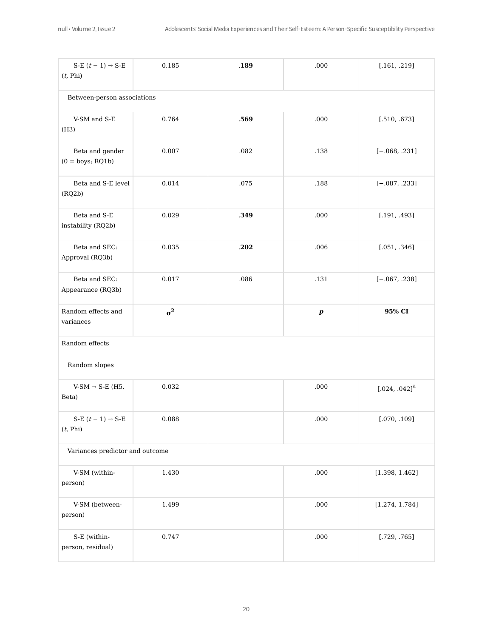| S-E $(t-1) \rightarrow S$ -E<br>(t, Phi)  | 0.185      | .189 | .000             | [.161, .219]                |  |  |  |  |
|-------------------------------------------|------------|------|------------------|-----------------------------|--|--|--|--|
| Between-person associations               |            |      |                  |                             |  |  |  |  |
| V-SM and S-E<br>(H3)                      | 0.764      | .569 | .000             | $[.510, .673]$              |  |  |  |  |
| Beta and gender<br>$(0 = boys; RQ1b)$     | 0.007      | .082 | .138             | $[-.068, .231]$             |  |  |  |  |
| Beta and S-E level<br>(RQ2b)              | 0.014      | .075 | .188             | $[-.087, .233]$             |  |  |  |  |
| Beta and S-E<br>instability (RQ2b)        | 0.029      | .349 | .000             | [.191, .493]                |  |  |  |  |
| Beta and SEC:<br>Approval (RQ3b)          | 0.035      | .202 | .006             | [.051, .346]                |  |  |  |  |
| Beta and SEC:<br>Appearance (RQ3b)        | 0.017      | .086 | .131             | $[-.067, .238]$             |  |  |  |  |
|                                           |            |      |                  |                             |  |  |  |  |
| Random effects and<br>variances           | $\sigma^2$ |      | $\boldsymbol{p}$ | 95% CI                      |  |  |  |  |
| Random effects                            |            |      |                  |                             |  |  |  |  |
| Random slopes                             |            |      |                  |                             |  |  |  |  |
| V-SM $\rightarrow$ S-E (H5,<br>Beta)      | 0.032      |      | .000             | $[.024, .042]$ <sup>a</sup> |  |  |  |  |
| S-E $(t-1)$ $\rightarrow$ S-E<br>(t, Phi) | 0.088      |      | .000             | [.070, .109]                |  |  |  |  |
| Variances predictor and outcome           |            |      |                  |                             |  |  |  |  |
| V-SM (within-<br>person)                  | 1.430      |      | $.000$           | [1.398, 1.462]              |  |  |  |  |
| V-SM (between-<br>person)                 | 1.499      |      | .000             | [1.274, 1.784]              |  |  |  |  |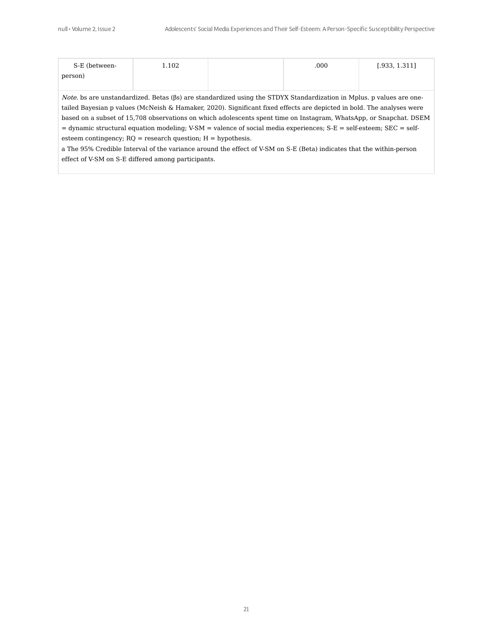| S-E (between- | 1.102 | .000 | [.933, 1.311] |
|---------------|-------|------|---------------|
| person)       |       |      |               |
|               |       |      |               |

Note. bs are unstandardized. Betas (βs) are standardized using the STDYX Standardization in Mplus. p values are onetailed Bayesian p values (McNeish & Hamaker, 2020). Significant fixed effects are depicted in bold. The analyses were based on a subset of 15,708 observations on which adolescents spent time on Instagram, WhatsApp, or Snapchat. DSEM = dynamic structural equation modeling; V-SM = valence of social media experiences; S-E = self-esteem; SEC = selfesteem contingency;  $RQ$  = research question;  $H =$  hypothesis.

a The 95% Credible Interval of the variance around the effect of V-SM on S-E (Beta) indicates that the within-person effect of V-SM on S-E differed among participants.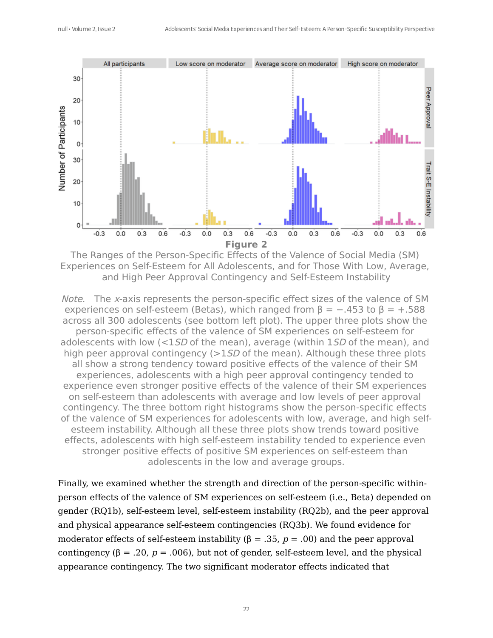<span id="page-21-0"></span>

The Ranges of the Person-Specific Effects of the Valence of Social Media (SM) Experiences on Self-Esteem for All Adolescents, and for Those With Low, Average, and High Peer Approval Contingency and Self-Esteem Instability

Note. The x-axis represents the person-specific effect sizes of the valence of SM experiences on self-esteem (Betas), which ranged from  $\beta = -.453$  to  $\beta = +.588$ across all 300 adolescents (see bottom left plot). The upper three plots show the person-specific effects of the valence of SM experiences on self-esteem for adolescents with low  $\left($  <1*SD* of the mean), average (within 1*SD* of the mean), and high peer approval contingency  $(>15D)$  of the mean). Although these three plots all show a strong tendency toward positive effects of the valence of their SM experiences, adolescents with a high peer approval contingency tended to experience even stronger positive effects of the valence of their SM experiences on self-esteem than adolescents with average and low levels of peer approval contingency. The three bottom right histograms show the person-specific effects of the valence of SM experiences for adolescents with low, average, and high selfesteem instability. Although all these three plots show trends toward positive effects, adolescents with high self-esteem instability tended to experience even stronger positive effects of positive SM experiences on self-esteem than adolescents in the low and average groups.

Finally, we examined whether the strength and direction of the person-specific withinperson effects of the valence of SM experiences on self-esteem (i.e., Beta) depended on gender (RQ1b), self-esteem level, self-esteem instability (RQ2b), and the peer approval and physical appearance self-esteem contingencies (RQ3b). We found evidence for moderator effects of self-esteem instability ( $\beta$  = .35,  $p$  = .00) and the peer approval contingency (β = .20,  $p = .006$ ), but not of gender, self-esteem level, and the physical appearance contingency. The two significant moderator effects indicated that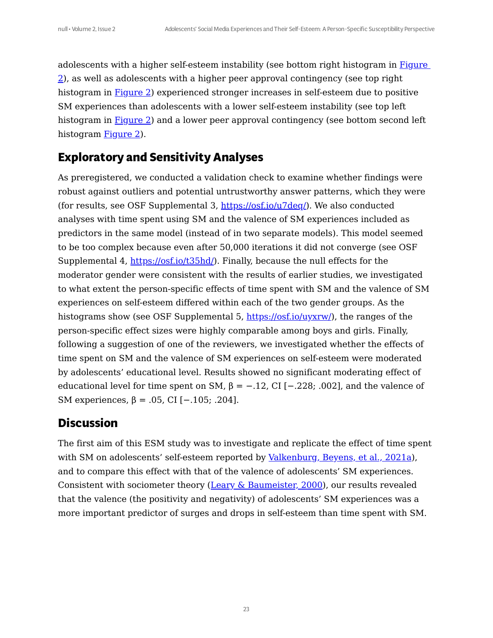adolescents with a higher self-esteem instability (see bottom right histogram in Figure 2), as well as adolescents with a higher peer approval [contingency](#page-21-0) (see top right histogram in **[Figure](#page-21-0) 2**) experienced stronger increases in self-esteem due to positive SM experiences than adolescents with a lower self-esteem instability (see top left histogram in [Figure](#page-21-0) 2) and a lower peer approval contingency (see bottom second left histogram [Figure](#page-21-0) 2).

## **Exploratory and Sensitivity Analyses**

As preregistered, we conducted a validation check to examine whether findings were robust against outliers and potential untrustworthy answer patterns, which they were (for results, see OSF Supplemental 3, <https://osf.io/u7deq/>). We also conducted analyses with time spent using SM and the valence of SM experiences included as predictors in the same model (instead of in two separate models). This model seemed to be too complex because even after 50,000 iterations it did not converge (see OSF Supplemental 4, [https://osf.io/t35hd/\)](https://osf.io/t35hd/). Finally, because the null effects for the moderator gender were consistent with the results of earlier studies, we investigated to what extent the person-specific effects of time spent with SM and the valence of SM experiences on self-esteem differed within each of the two gender groups. As the histograms show (see OSF Supplemental 5, [https://osf.io/uyxrw/\)](https://osf.io/uyxrw/), the ranges of the person-specific effect sizes were highly comparable among boys and girls. Finally, following a suggestion of one of the reviewers, we investigated whether the effects of time spent on SM and the valence of SM experiences on self-esteem were moderated by adolescents' educational level. Results showed no significant moderating effect of educational level for time spent on SM,  $\beta = -0.12$ , CI [ $-0.228$ ; .002], and the valence of SM experiences,  $β = .05$ , CI [ $-.105$ ; .204].

## **Discussion**

The first aim of this ESM study was to investigate and replicate the effect of time spent with SM on adolescents' self-esteem reported by [Valkenburg,](#page-28-4) Beyens, et al., 2021a), and to compare this effect with that of the valence of adolescents' SM experiences. Consistent with sociometer theory (Leary  $\&$  [Baumeister,](#page-29-0) 2000), our results revealed that the valence (the positivity and negativity) of adolescents' SM experiences was a more important predictor of surges and drops in self-esteem than time spent with SM.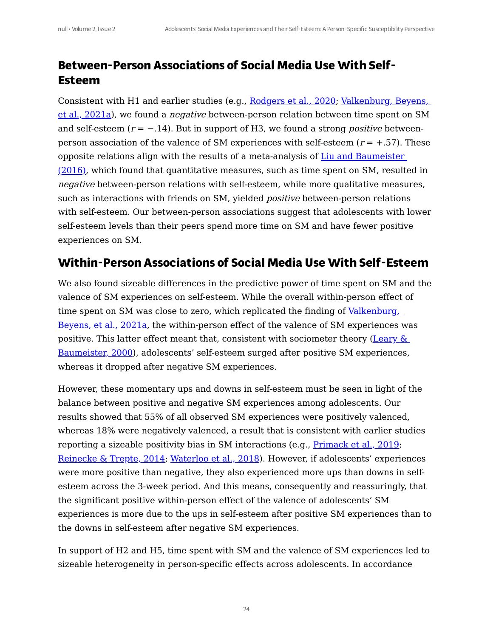# **Between-Person Associations of Social Media Use With Self-Esteem**

Consistent with H1 and earlier studies (e.g., Rodgers et al., 2020; Valkenburg, Beyens, et al., 2021a), we found a *negative* [between-person](#page-28-4) relation between time spent on SM and self-esteem  $(r = -.14)$ . But in support of H3, we found a strong *positive* betweenperson association of the valence of SM experiences with self-esteem  $(r = +.57)$ . These opposite relations align with the results of a [meta-analysis](#page-28-6) of Liu and Baumeister  $(2016)$ , which found that quantitative measures, such as time spent on SM, resulted in negative between-person relations with self-esteem, while more qualitative measures, such as interactions with friends on SM, yielded *positive* between-person relations with self-esteem. Our between-person associations suggest that adolescents with lower self-esteem levels than their peers spend more time on SM and have fewer positive experiences on SM.

# **Within-Person Associations of Social Media Use With Self-Esteem**

We also found sizeable differences in the predictive power of time spent on SM and the valence of SM experiences on self-esteem. While the overall within-person effect of time spent on SM was close to zero, which replicated the finding of Valkenburg, Beyens, et al., 2021a, the [within-person](#page-28-4) effect of the valence of SM experiences was positive. This latter effect meant that, consistent with sociometer theory (Leary  $\&$ Baumeister, 2000), adolescents' self-esteem surged after positive SM [experiences,](#page-29-0) whereas it dropped after negative SM experiences.

<span id="page-23-0"></span>However, these momentary ups and downs in self-esteem must be seen in light of the balance between positive and negative SM experiences among adolescents. Our results showed that 55% of all observed SM experiences were positively valenced, whereas 18% were negatively valenced, a result that is consistent with earlier studies reporting a sizeable positivity bias in SM interactions (e.g., [Primack](#page-30-3) et al., 2019; [Reinecke](#page-32-0) & Trepte, 2014; Waterloo et al., 2018). However, if adolescents' experiences were more positive than negative, they also experienced more ups than downs in selfesteem across the 3-week period. And this means, consequently and reassuringly, that the significant positive within-person effect of the valence of adolescents' SM experiences is more due to the ups in self-esteem after positive SM experiences than to the downs in self-esteem after negative SM experiences.

In support of H2 and H5, time spent with SM and the valence of SM experiences led to sizeable heterogeneity in person-specific effects across adolescents. In accordance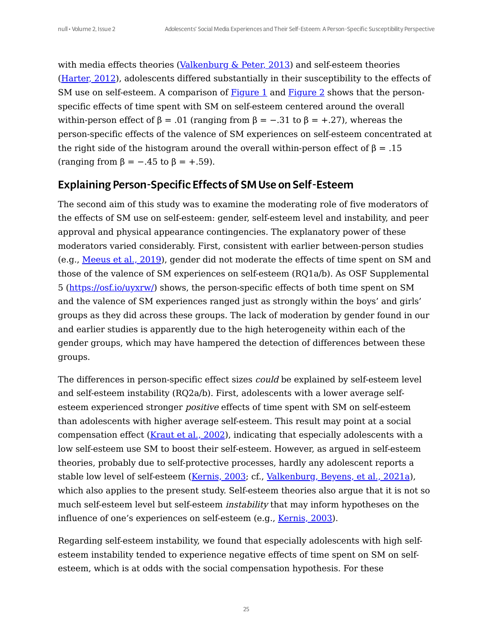with media effects theories ([Valkenburg](#page-30-2)  $&$  Peter, 2013) and self-esteem theories [\(Harter,](#page-29-3) 2012), adolescents differed substantially in their susceptibility to the effects of SM use on self-esteem. A comparison of  $Figure 1$  $Figure 1$  and  $Figure 2$  shows that the personspecific effects of time spent with SM on self-esteem centered around the overall within-person effect of  $\beta = .01$  (ranging from  $\beta = -.31$  to  $\beta = +.27$ ), whereas the person-specific effects of the valence of SM experiences on self-esteem concentrated at the right side of the histogram around the overall within-person effect of  $\beta = 0.15$ (ranging from  $\beta = -.45$  to  $\beta = +.59$ ).

## Explaining Person-Specific Effects of SMUse on Self-Esteem

The second aim of this study was to examine the moderating role of five moderators of the effects of SM use on self-esteem: gender, self-esteem level and instability, and peer approval and physical appearance contingencies. The explanatory power of these moderators varied considerably. First, consistent with earlier between-person studies (e.g., [Meeus](#page-28-3) et al., 2019), gender did not moderate the effects of time spent on SM and those of the valence of SM experiences on self-esteem (RQ1a/b). As OSF Supplemental 5 [\(https://osf.io/uyxrw/](https://osf.io/uyxrw/)) shows, the person-specific effects of both time spent on SM and the valence of SM experiences ranged just as strongly within the boys' and girls' groups as they did across these groups. The lack of moderation by gender found in our and earlier studies is apparently due to the high heterogeneity within each of the gender groups, which may have hampered the detection of differences between these groups.

The differences in person-specific effect sizes *could* be explained by self-esteem level and self-esteem instability (RQ2a/b). First, adolescents with a lower average selfesteem experienced stronger positive effects of time spent with SM on self-esteem than adolescents with higher average self-esteem. This result may point at a social compensation effect ([Kraut](#page-31-2) et al., 2002), indicating that especially adolescents with a low self-esteem use SM to boost their self-esteem. However, as argued in self-esteem theories, probably due to self-protective processes, hardly any adolescent reports a stable low level of self-esteem (Kernis, 2003; cf., [Valkenburg,](#page-28-4) Beyens, et al., 2021a), which also applies to the present study. Self-esteem theories also argue that it is not so much self-esteem level but self-esteem instability that may inform hypotheses on the influence of one's experiences on self-esteem (e.g., Kernis, 2003).

Regarding self-esteem instability, we found that especially adolescents with high selfesteem instability tended to experience negative effects of time spent on SM on selfesteem, which is at odds with the social compensation hypothesis. For these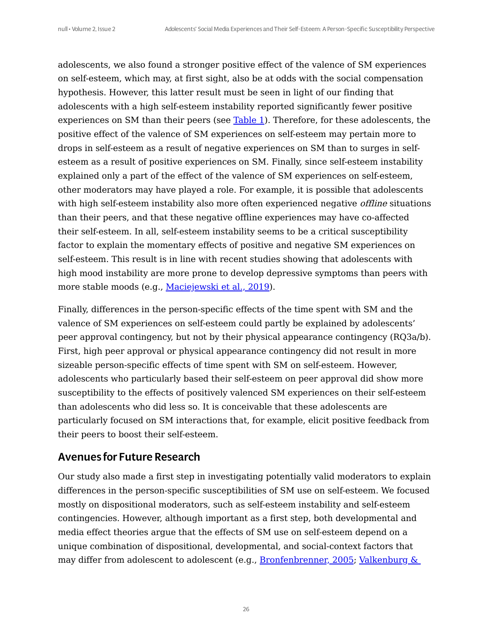adolescents, we also found a stronger positive effect of the valence of SM experiences on self-esteem, which may, at first sight, also be at odds with the social compensation hypothesis. However, this latter result must be seen in light of our finding that adolescents with a high self-esteem instability reported significantly fewer positive experiences on SM than their peers (see [Table](#page-13-0) 1). Therefore, for these adolescents, the positive effect of the valence of SM experiences on self-esteem may pertain more to drops in self-esteem as a result of negative experiences on SM than to surges in selfesteem as a result of positive experiences on SM. Finally, since self-esteem instability explained only a part of the effect of the valence of SM experiences on self-esteem, other moderators may have played a role. For example, it is possible that adolescents with high self-esteem instability also more often experienced negative offline situations than their peers, and that these negative offline experiences may have co-affected their self-esteem. In all, self-esteem instability seems to be a critical susceptibility factor to explain the momentary effects of positive and negative SM experiences on self-esteem. This result is in line with recent studies showing that adolescents with high mood instability are more prone to develop depressive symptoms than peers with more stable moods (e.g., [Maciejewski](#page-32-1) et al., 2019).

<span id="page-25-0"></span>Finally, differences in the person-specific effects of the time spent with SM and the valence of SM experiences on self-esteem could partly be explained by adolescents' peer approval contingency, but not by their physical appearance contingency (RQ3a/b). First, high peer approval or physical appearance contingency did not result in more sizeable person-specific effects of time spent with SM on self-esteem. However, adolescents who particularly based their self-esteem on peer approval did show more susceptibility to the effects of positively valenced SM experiences on their self-esteem than adolescents who did less so. It is conceivable that these adolescents are particularly focused on SM interactions that, for example, elicit positive feedback from their peers to boost their self-esteem.

#### Avenues for Future Research

<span id="page-25-1"></span>Our study also made a first step in investigating potentially valid moderators to explain differences in the person-specific susceptibilities of SM use on self-esteem. We focused mostly on dispositional moderators, such as self-esteem instability and self-esteem contingencies. However, although important as a first step, both developmental and media effect theories argue that the effects of SM use on self-esteem depend on a unique combination of dispositional, developmental, and social-context factors that may differ from adolescent to adolescent (e.g., [Bronfenbrenner,](#page-32-2) 2005; [Valkenburg](#page-30-2) &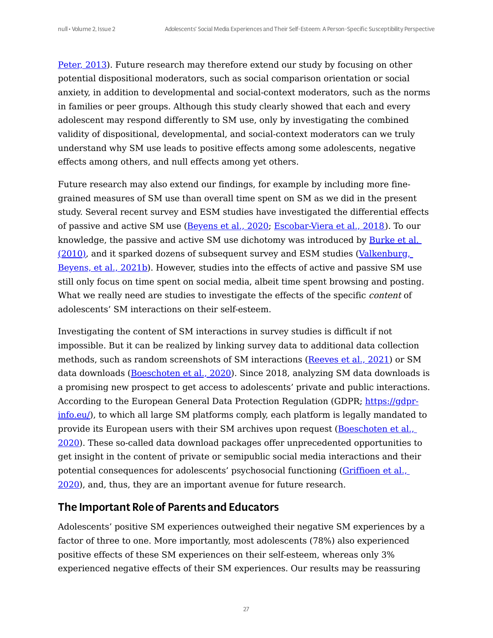[Peter,](#page-30-2) 2013). Future research may therefore extend our study by focusing on other potential dispositional moderators, such as social comparison orientation or social anxiety, in addition to developmental and social-context moderators, such as the norms in families or peer groups. Although this study clearly showed that each and every adolescent may respond differently to SM use, only by investigating the combined validity of dispositional, developmental, and social-context moderators can we truly understand why SM use leads to positive effects among some adolescents, negative effects among others, and null effects among yet others.

<span id="page-26-2"></span><span id="page-26-1"></span><span id="page-26-0"></span>Future research may also extend our findings, for example by including more finegrained measures of SM use than overall time spent on SM as we did in the present study. Several recent survey and ESM studies have investigated the differential effects of passive and active SM use [\(Beyens](#page-32-3) et al., 2020; [Escobar-Viera](#page-32-4) et al., 2018). To our knowledge, the passive and active SM use dichotomy was introduced by Burke et al. (2010), and it sparked dozens of subsequent survey and ESM studies [\(Valkenburg,](#page-32-5) Beyens, et al., 2021b). However, studies into the effects of active and passive SM use still only focus on time spent on social media, albeit time spent browsing and posting. What we really need are studies to investigate the effects of the specific *content* of adolescents' SM interactions on their self-esteem.

<span id="page-26-4"></span><span id="page-26-3"></span>Investigating the content of SM interactions in survey studies is difficult if not impossible. But it can be realized by linking survey data to additional data collection methods, such as random screenshots of SM interactions ([Reeves](#page-33-0) et al., 2021) or SM data downloads ([Boeschoten](#page-33-1) et al., 2020). Since 2018, analyzing SM data downloads is a promising new prospect to get access to adolescents' private and public interactions. According to the European General Data Protection Regulation (GDPR; [https://gdpr](https://gdpr-info.eu/)info.eu/), to which all large SM platforms comply, each platform is legally mandated to provide its European users with their SM archives upon request (Boeschoten et al., 2020). These so-called data download packages offer [unprecedented](#page-33-1) opportunities to get insight in the content of private or semipublic social media interactions and their potential [consequences](#page-33-2) for adolescents' psychosocial functioning (Griffioen et al., 2020), and, thus, they are an important avenue for future research.

#### <span id="page-26-5"></span>The Important Role of Parents and Educators

Adolescents' positive SM experiences outweighed their negative SM experiences by a factor of three to one. More importantly, most adolescents (78%) also experienced positive effects of these SM experiences on their self-esteem, whereas only 3% experienced negative effects of their SM experiences. Our results may be reassuring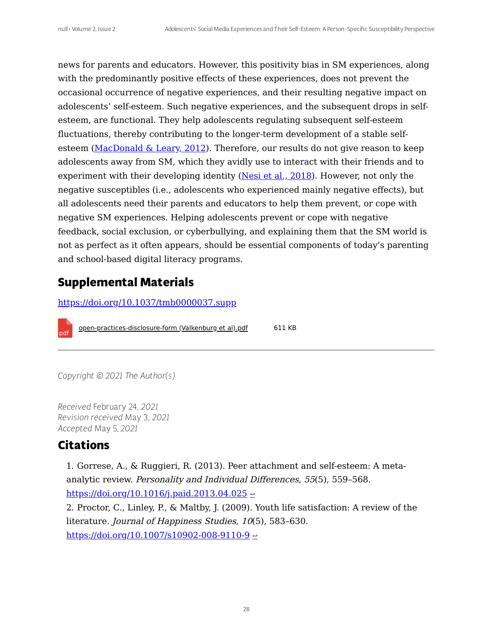<span id="page-27-2"></span>news for parents and educators. However, this positivity bias in SM experiences, along with the predominantly positive effects of these experiences, does not prevent the occasional occurrence of negative experiences, and their resulting negative impact on adolescents' self-esteem. Such negative experiences, and the subsequent drops in selfesteem, are functional. They help adolescents regulating subsequent self-esteem fluctuations, thereby contributing to the longer-term development of a stable selfesteem ([MacDonald](#page-33-3) & Leary, 2012). Therefore, our results do not give reason to keep adolescents away from SM, which they avidly use to interact with their friends and to experiment with their developing identity (Nesi et al., [2018](#page-33-4)). However, not only the negative susceptibles (i.e., adolescents who experienced mainly negative effects), but all adolescents need their parents and educators to help them prevent, or cope with negative SM experiences. Helping adolescents prevent or cope with negative feedback, social exclusion, or cyberbullying, and explaining them that the SM world is not as perfect as it often appears, should be essential components of today's parenting and school-based digital literacy programs.

# <span id="page-27-3"></span>**Supplemental Materials**

<https://doi.org/10.1037/tmb0000037.supp>

[open-practices-disclosure-form \(Valkenburg et al\).pdf](https://assets.pubpub.org/6iev83pl/71628809538253.pdf) 611 KB

*Copyright © 2021 The Author(s)*

*Received* February 24*, 2021 Revision received* May 3*, 2021 Accepted* May 5, *2021*

## **Citations**

pdf

<span id="page-27-0"></span>1. Gorrese, A., & Ruggieri, R. (2013). Peer attachment and self-esteem: A metaanalytic review. Personality and Individual Differences, 55(5), 559–568. <https://doi.org/10.1016/j.paid.2013.04.025>  $\leq$ 

<span id="page-27-1"></span>2. Proctor, C., Linley, P., & Maltby, J. (2009). Youth life satisfaction: A review of the literature. Journal of Happiness Studies, 10(5), 583-630. <https://doi.org/10.1007/s10902-008-9110-9>  $\leftrightarrow$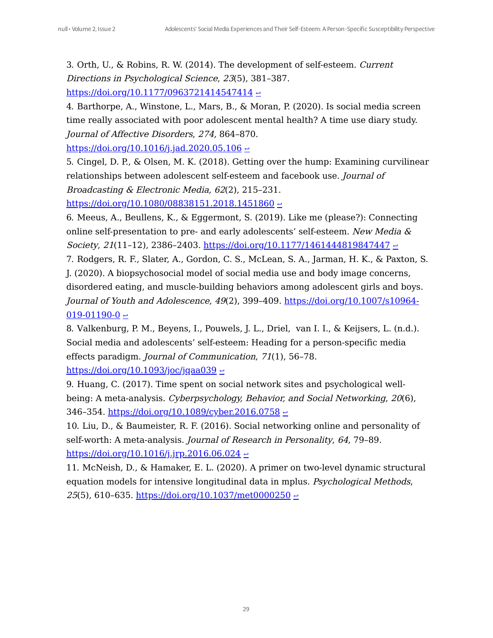<span id="page-28-0"></span>3. Orth, U., & Robins, R. W. (2014). The development of self-esteem. Current Directions in Psychological Science, 23(5), 381–387.

<https://doi.org/10.1177/0963721414547414>  $\leq$ 

<span id="page-28-1"></span>4. Barthorpe, A., Winstone, L., Mars, B., & Moran, P. (2020). Is social media screen time really associated with poor adolescent mental health? A time use diary study. Journal of Affective Disorders, 274, 864–870.

<https://doi.org/10.1016/j.jad.2020.05.106>  $\leftrightarrow$ 

<span id="page-28-2"></span>5. Cingel, D. P., & Olsen, M. K. (2018). Getting over the hump: Examining curvilinear relationships between adolescent self-esteem and facebook use. Journal of Broadcasting & Electronic Media, 62(2), 215–231.

<https://doi.org/10.1080/08838151.2018.1451860>  $\leq$ 

<span id="page-28-3"></span>6. Meeus, A., Beullens, K., & Eggermont, S. (2019). Like me (please?): Connecting online self-presentation to pre- and early adolescents' self-esteem. New Media & Society, 21(11-12), 2386-2403. <https://doi.org/10.1177/1461444819847447>  $\leq$ 

7. Rodgers, R. F., Slater, A., Gordon, C. S., McLean, S. A., Jarman, H. K., & Paxton, S. J. (2020). A biopsychosocial model of social media use and body image concerns, disordered eating, and muscle-building behaviors among adolescent girls and boys. Journal of Youth and Adolescence, 49(2), 399-409. [https://doi.org/10.1007/s10964-](https://doi.org/10.1007/s10964-019-01190-0)  $019-01190-0$   $\leq$ 

<span id="page-28-4"></span>8. Valkenburg, P. M., Beyens, I., Pouwels, J. L., Driel, van I. I., & Keijsers, L. (n.d.). Social media and adolescents' self-esteem: Heading for a person-specific media effects paradigm. Journal of Communication, 71(1), 56–78.

<https://doi.org/10.1093/joc/jqaa039>  $\leq$ 

<span id="page-28-5"></span>9. Huang, C. (2017). Time spent on social network sites and psychological wellbeing: A meta-analysis. Cyberpsychology, Behavior, and Social Networking, 20(6), 346–354. <https://doi.org/10.1089/cyber.2016.0758>  $\leq$ 

<span id="page-28-6"></span>10. Liu, D., & Baumeister, R. F. (2016). Social networking online and personality of self-worth: A meta-analysis. Journal of Research in Personality, 64, 79–89. <https://doi.org/10.1016/j.jrp.2016.06.024>  $\leq$ 

11. McNeish, D., & Hamaker, E. L. (2020). A primer on two-level dynamic structural equation models for intensive longitudinal data in mplus. Psychological Methods, 25(5), 610–635. <https://doi.org/10.1037/met0000250>  $\leq$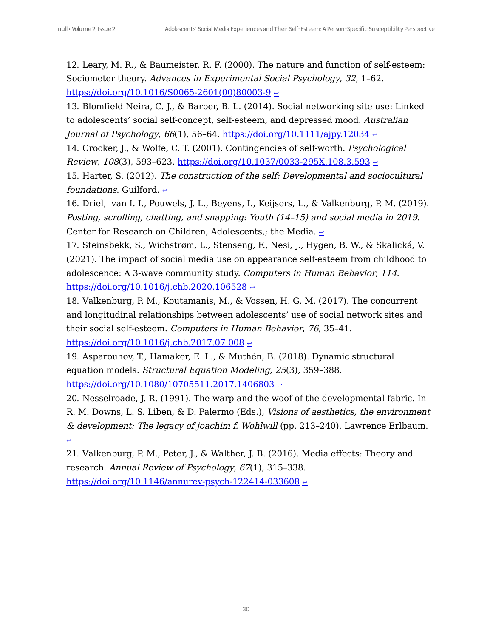<span id="page-29-0"></span>12. Leary, M. R., & Baumeister, R. F. (2000). The nature and function of self-esteem: Sociometer theory. Advances in Experimental Social Psychology, 32, 1–62.  $\frac{\text{https://doi.org/10.1016/S0065-2601(00)80003-9}$  $\frac{\text{https://doi.org/10.1016/S0065-2601(00)80003-9}$  $\frac{\text{https://doi.org/10.1016/S0065-2601(00)80003-9}$  ~

<span id="page-29-1"></span>13. Blomfield Neira, C. J., & Barber, B. L. (2014). Social networking site use: Linked to adolescents' social self-concept, self-esteem, and depressed mood. Australian Journal of Psychology,  $66(1)$ , 56–64. <https://doi.org/10.1111/ajpy.12034>  $\sim$ 

<span id="page-29-2"></span>14. Crocker, J., & Wolfe, C. T. (2001). Contingencies of self-worth. Psychological Review, 108(3), 593-623. <https://doi.org/10.1037/0033-295X.108.3.593>  $\leq$ 

<span id="page-29-3"></span>15. Harter, S. (2012). The construction of the self: Developmental and sociocultural *foundations.* Guilford.  $\leq$ 

16. Driel, van I. I., Pouwels, J. L., Beyens, I., Keijsers, L., & Valkenburg, P. M. (2019). Posting, scrolling, chatting, and snapping: Youth (14–15) and social media in 2019. Center for Research on Children, Adolescents,; the Media. ←

<span id="page-29-4"></span>17. Steinsbekk, S., Wichstrøm, L., Stenseng, F., Nesi, J., Hygen, B. W., & Skalická, V. (2021). The impact of social media use on appearance self-esteem from childhood to adolescence: A 3-wave community study. Computers in Human Behavior, 114.  $\frac{\text{https://doi.org/10.1016/j.chb.2020.106528} \div \frac{1}{2}$  $\frac{\text{https://doi.org/10.1016/j.chb.2020.106528} \div \frac{1}{2}$  $\frac{\text{https://doi.org/10.1016/j.chb.2020.106528} \div \frac{1}{2}$ 

<span id="page-29-5"></span>18. Valkenburg, P. M., Koutamanis, M., & Vossen, H. G. M. (2017). The concurrent and longitudinal relationships between adolescents' use of social network sites and their social self-esteem. Computers in Human Behavior, 76, 35–41.

<https://doi.org/10.1016/j.chb.2017.07.008>  $\leftrightarrow$ 

<span id="page-29-6"></span>19. Asparouhov, T., Hamaker, E. L., & Muthén, B. (2018). Dynamic structural equation models. Structural Equation Modeling, 25(3), 359–388. <https://doi.org/10.1080/10705511.2017.1406803>  $\rightarrow$ 

<span id="page-29-7"></span>20. Nesselroade, J. R. (1991). The warp and the woof of the developmental fabric. In R. M. Downs, L. S. Liben, & D. Palermo (Eds.), Visions of aesthetics, the environment & development: The legacy of joachim f. Wohlwill (pp. 213–240). Lawrence Erlbaum. [↩](#page-4-4)

<span id="page-29-8"></span>21. Valkenburg, P. M., Peter, J., & Walther, J. B. (2016). Media effects: Theory and research. Annual Review of Psychology, 67(1), 315–338. <https://doi.org/10.1146/annurev-psych-122414-033608>  $\epsilon$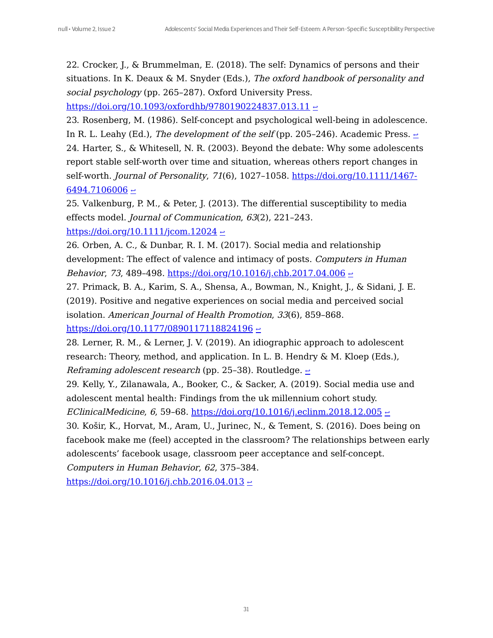<span id="page-30-0"></span>22. Crocker, J., & Brummelman, E. (2018). The self: Dynamics of persons and their situations. In K. Deaux & M. Snyder (Eds.), The oxford handbook of personality and social psychology (pp. 265-287). Oxford University Press.

<https://doi.org/10.1093/oxfordhb/9780190224837.013.11>  $\leq$ 

<span id="page-30-1"></span>23. Rosenberg, M. (1986). Self-concept and psychological well-being in adolescence. In R. L. Leahy (Ed.), The development of the self (pp. 205–246). Academic Press.  $\geq$ 24. Harter, S., & Whitesell, N. R. (2003). Beyond the debate: Why some adolescents report stable self-worth over time and situation, whereas others report changes in self-worth. *Journal of Personality, 71*(6), 1027-1058. [https://doi.org/10.1111/1467-](https://doi.org/10.1111/1467-6494.7106006)  $6494.7106006$   $\div$ 

<span id="page-30-2"></span>25. Valkenburg, P. M., & Peter, J. (2013). The differential susceptibility to media effects model. Journal of Communication, 63(2), 221–243. <https://doi.org/10.1111/jcom.12024>  $\leftrightarrow$ 

26. Orben, A. C., & Dunbar, R. I. M. (2017). Social media and relationship development: The effect of valence and intimacy of posts. Computers in Human Behavior, 73, 489-498. <https://doi.org/10.1016/j.chb.2017.04.006>  $\leq$ 

<span id="page-30-3"></span>27. Primack, B. A., Karim, S. A., Shensa, A., Bowman, N., Knight, J., & Sidani, J. E. (2019). Positive and negative experiences on social media and perceived social isolation. American Journal of Health Promotion, 33(6), 859–868. <https://doi.org/10.1177/0890117118824196>  $\leftrightarrow$ 

<span id="page-30-4"></span>28. Lerner, R. M., & Lerner, J. V. (2019). An idiographic approach to adolescent research: Theory, method, and application. In L. B. Hendry & M. Kloep (Eds.), *Reframing adolescent research* (pp. 25–38). Routledge.  $\geq$ 

<span id="page-30-5"></span>29. Kelly, Y., Zilanawala, A., Booker, C., & Sacker, A. (2019). Social media use and adolescent mental health: Findings from the uk millennium cohort study.

EClinicalMedicine, 6, 59-68. <https://doi.org/10.1016/j.eclinm.2018.12.005>  $\leq$ 

30. Košir, K., Horvat, M., Aram, U., Jurinec, N., & Tement, S. (2016). Does being on facebook make me (feel) accepted in the classroom? The relationships between early adolescents' facebook usage, classroom peer acceptance and self-concept.

Computers in Human Behavior, 62, 375–384.  $\frac{\text{https://doi.org/10.1016/j.chb.2016.04.013} \div \frac{\text{https://doi.org/10.1016/j.chb.2016.04.013} \div \frac{\text{https://doi.org/10.1016/j.chb.2016.04.013}}{\text{https://doi.org/10.1016/j.chb.2016.04.013}}$  $\frac{\text{https://doi.org/10.1016/j.chb.2016.04.013} \div \frac{\text{https://doi.org/10.1016/j.chb.2016.04.013} \div \frac{\text{https://doi.org/10.1016/j.chb.2016.04.013}}{\text{https://doi.org/10.1016/j.chb.2016.04.013}}$  $\frac{\text{https://doi.org/10.1016/j.chb.2016.04.013} \div \frac{\text{https://doi.org/10.1016/j.chb.2016.04.013} \div \frac{\text{https://doi.org/10.1016/j.chb.2016.04.013}}{\text{https://doi.org/10.1016/j.chb.2016.04.013}}$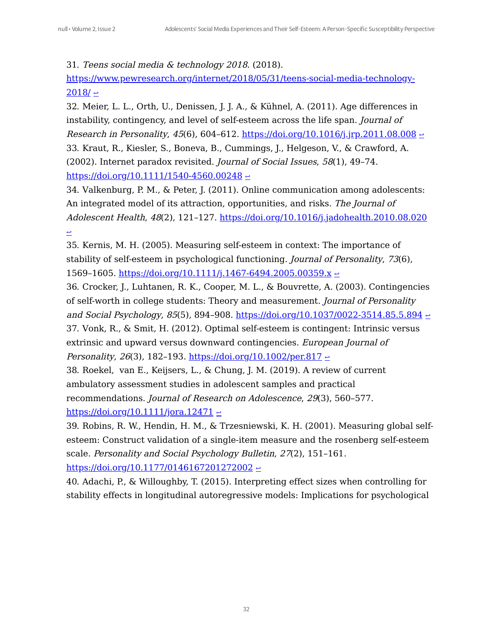<span id="page-31-0"></span>31. Teens social media & technology 2018. (2018).

[https://www.pewresearch.org/internet/2018/05/31/teens-social-media-technology-](https://www.pewresearch.org/internet/2018/05/31/teens-social-media-technology-2018/) $2018/$   $\approx$ 

<span id="page-31-1"></span>32. Meier, L. L., Orth, U., Denissen, J. J. A., & Kühnel, A. (2011). Age differences in instability, contingency, and level of self-esteem across the life span. Journal of Research in Personality, 45(6), 604–612. <https://doi.org/10.1016/j.jrp.2011.08.008>  $\leftrightarrow$ 33. Kraut, R., Kiesler, S., Boneva, B., Cummings, J., Helgeson, V., & Crawford, A.

<span id="page-31-2"></span>(2002). Internet paradox revisited. Journal of Social Issues, 58(1), 49–74. <https://doi.org/10.1111/1540-4560.00248>  $\leftrightarrow$ 

34. Valkenburg, P. M., & Peter, J. (2011). Online communication among adolescents: An integrated model of its attraction, opportunities, and risks. The Journal of Adolescent Health, 48(2), 121-127. <https://doi.org/10.1016/j.jadohealth.2010.08.020> ↩

35. Kernis, M. H. (2005). Measuring self-esteem in context: The importance of stability of self-esteem in psychological functioning. Journal of Personality, 73(6), 1569–1605. <https://doi.org/10.1111/j.1467-6494.2005.00359.x>  $\leq$ 

<span id="page-31-3"></span>36. Crocker, J., Luhtanen, R. K., Cooper, M. L., & Bouvrette, A. (2003). Contingencies of self-worth in college students: Theory and measurement. Journal of Personality and Social Psychology, 85(5), 894-908. <https://doi.org/10.1037/0022-3514.85.5.894>  $\leq$ 37. Vonk, R., & Smit, H. (2012). Optimal self-esteem is contingent: Intrinsic versus extrinsic and upward versus downward contingencies. European Journal of

<span id="page-31-4"></span>Personality, 26(3), 182-193. <https://doi.org/10.1002/per.817>  $\leftrightarrow$ 

<span id="page-31-5"></span>38. Roekel, van E., Keijsers, L., & Chung, J. M. (2019). A review of current ambulatory assessment studies in adolescent samples and practical recommendations. Journal of Research on Adolescence, 29(3), 560–577.

<https://doi.org/10.1111/jora.12471>  $\leq$ 

39. Robins, R. W., Hendin, H. M., & Trzesniewski, K. H. (2001). Measuring global selfesteem: Construct validation of a single-item measure and the rosenberg self-esteem scale. Personality and Social Psychology Bulletin, 27(2), 151–161. <https://doi.org/10.1177/0146167201272002>  $\leq$ 

<span id="page-31-6"></span>40. Adachi, P., & Willoughby, T. (2015). Interpreting effect sizes when controlling for stability effects in longitudinal autoregressive models: Implications for psychological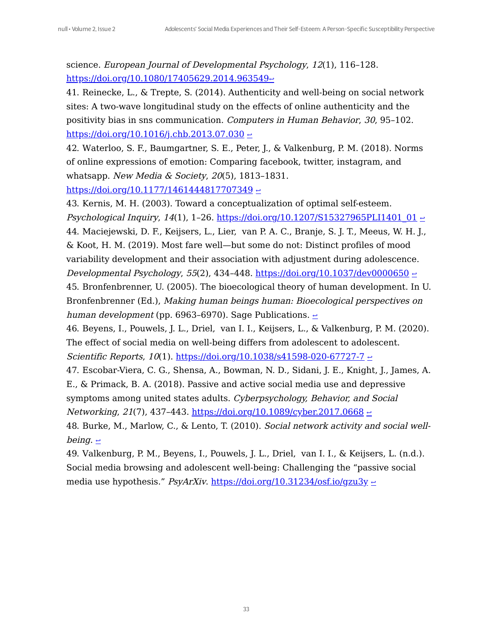science. European Journal of Developmental Psychology, 12(1), 116–128. <https://doi.org/10.1080/17405629.2014.963549>[↩](#page-12-0)

<span id="page-32-0"></span>41. Reinecke, L., & Trepte, S. (2014). Authenticity and well-being on social network sites: A two-wave longitudinal study on the effects of online authenticity and the positivity bias in sns communication. Computers in Human Behavior, 30, 95–102. <https://doi.org/10.1016/j.chb.2013.07.030>  $\leftrightarrow$ 

42. Waterloo, S. F., Baumgartner, S. E., Peter, J., & Valkenburg, P. M. (2018). Norms of online expressions of emotion: Comparing facebook, twitter, instagram, and whatsapp. New Media & Society, 20(5), 1813–1831.

<https://doi.org/10.1177/1461444817707349>  $\leq$ 

<span id="page-32-1"></span>43. Kernis, M. H. (2003). Toward a conceptualization of optimal self-esteem. Psychological Inquiry, 14(1), 1-26. [https://doi.org/10.1207/S15327965PLI1401\\_01](https://doi.org/10.1207/S15327965PLI1401_01)  $\sim$ 44. Maciejewski, D. F., Keijsers, L., Lier, van P. A. C., Branje, S. J. T., Meeus, W. H. J., & Koot, H. M. (2019). Most fare well—but some do not: Distinct profiles of mood variability development and their association with adjustment during adolescence. Developmental Psychology, 55(2), 434-448. <https://doi.org/10.1037/dev0000650>  $\leq$ 45. Bronfenbrenner, U. (2005). The bioecological theory of human development. In U. Bronfenbrenner (Ed.), Making human beings human: Bioecological perspectives on human development (pp. 6963–6970). Sage Publications.  $\geq$ 

<span id="page-32-3"></span><span id="page-32-2"></span>46. Beyens, I., Pouwels, J. L., Driel, van I. I., Keijsers, L., & Valkenburg, P. M. (2020). The effect of social media on well-being differs from adolescent to adolescent. Scientific Reports,  $10(1)$ . <https://doi.org/10.1038/s41598-020-67727-7>  $\sim$ 

<span id="page-32-4"></span>47. Escobar-Viera, C. G., Shensa, A., Bowman, N. D., Sidani, J. E., Knight, J., James, A. E., & Primack, B. A. (2018). Passive and active social media use and depressive

symptoms among united states adults. Cyberpsychology, Behavior, and Social Networking, 21(7), 437-443. <https://doi.org/10.1089/cyber.2017.0668>  $\leq$ 

<span id="page-32-5"></span>48. Burke, M., Marlow, C., & Lento, T. (2010). Social network activity and social wellbeing.  $\leftrightarrow$ 

49. Valkenburg, P. M., Beyens, I., Pouwels, J. L., Driel, van I. I., & Keijsers, L. (n.d.). Social media browsing and adolescent well-being: Challenging the "passive social media use hypothesis."  $PsyArXiv$ . <https://doi.org/10.31234/osf.io/gzu3y>  $\approx$